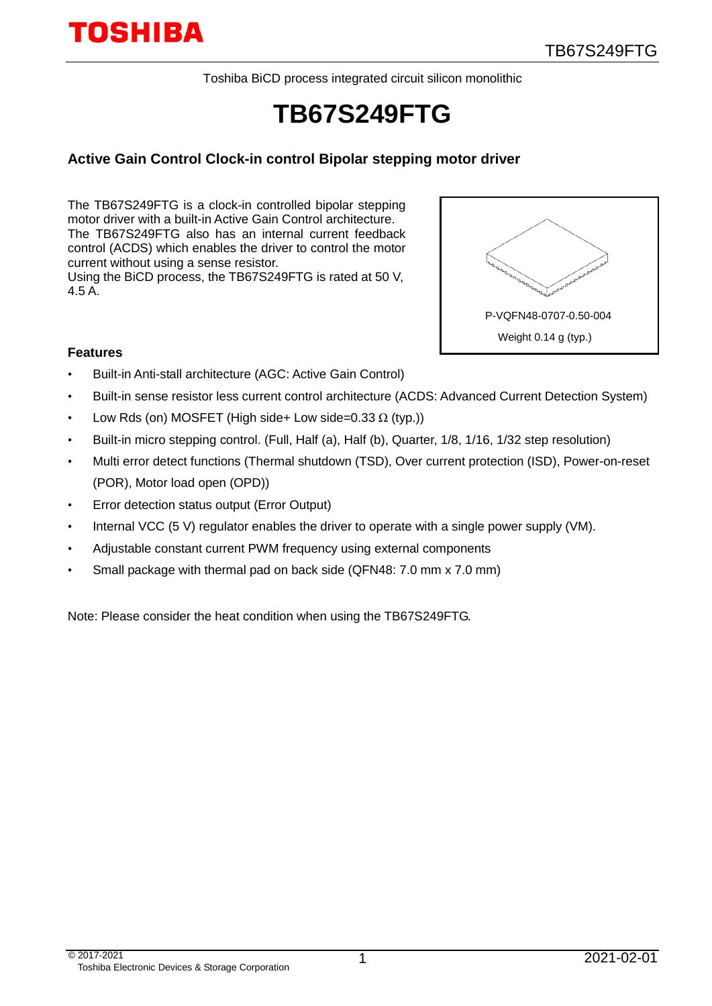Toshiba BiCD process integrated circuit silicon monolithic

# **TB67S249FTG**

### **Active Gain Control Clock-in control Bipolar stepping motor driver**

The TB67S249FTG is a clock-in controlled bipolar stepping motor driver with a built-in Active Gain Control architecture. The TB67S249FTG also has an internal current feedback control (ACDS) which enables the driver to control the motor current without using a sense resistor. Using the BiCD process, the TB67S249FTG is rated at 50 V,

4.5 A.



#### **Features**

- Built-in Anti-stall architecture (AGC: Active Gain Control)
- Built-in sense resistor less current control architecture (ACDS: Advanced Current Detection System)
- Low Rds (on) MOSFET (High side+ Low side=0.33  $\Omega$  (typ.))
- Built-in micro stepping control. (Full, Half (a), Half (b), Quarter, 1/8, 1/16, 1/32 step resolution)
- Multi error detect functions (Thermal shutdown (TSD), Over current protection (ISD), Power-on-reset (POR), Motor load open (OPD))
- Error detection status output (Error Output)
- Internal VCC (5 V) regulator enables the driver to operate with a single power supply (VM).
- Adjustable constant current PWM frequency using external components
- Small package with thermal pad on back side (QFN48: 7.0 mm x 7.0 mm)

Note: Please consider the heat condition when using the TB67S249FTG.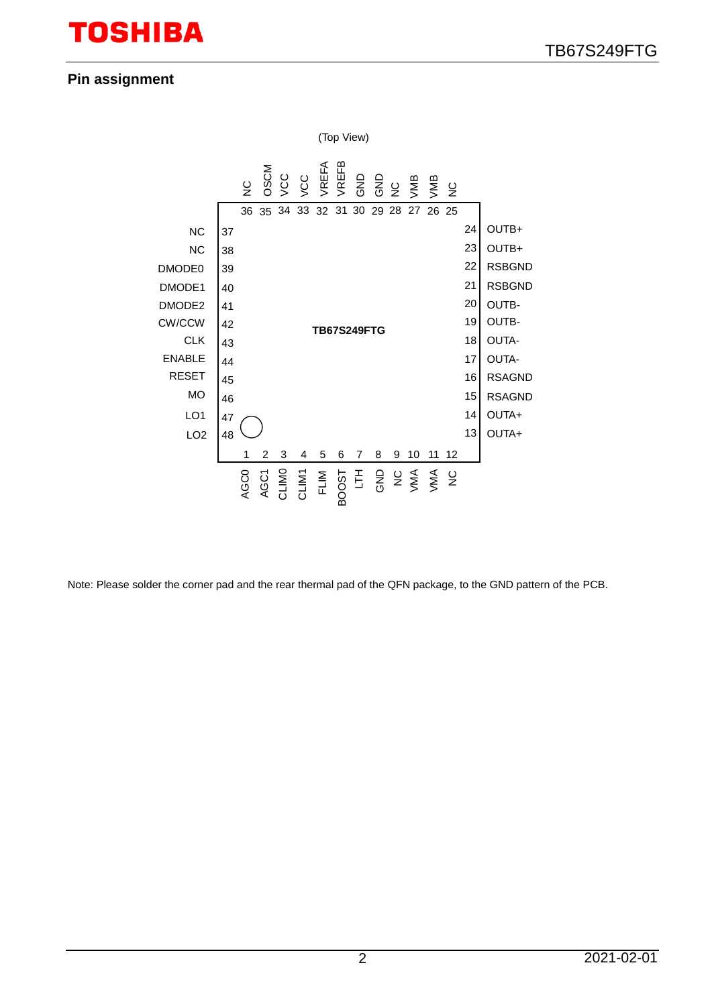## **Pin assignment**



Note: Please solder the corner pad and the rear thermal pad of the QFN package, to the GND pattern of the PCB.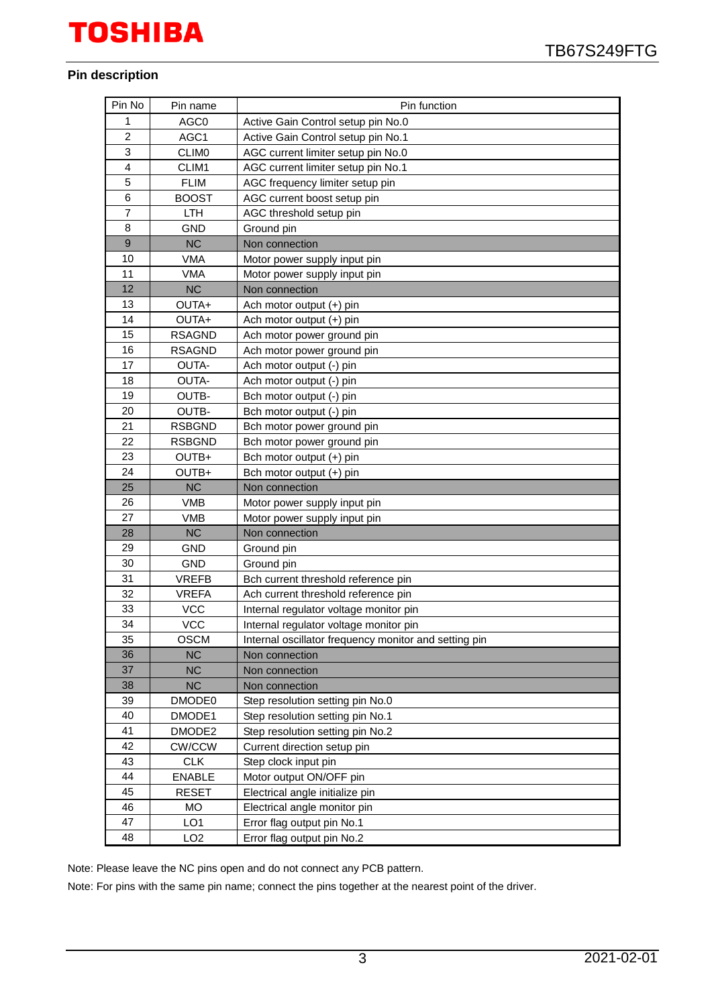#### **Pin description**

| Pin No         | Pin name        | Pin function                                          |
|----------------|-----------------|-------------------------------------------------------|
| 1              | AGC0            | Active Gain Control setup pin No.0                    |
| $\overline{c}$ | AGC1            | Active Gain Control setup pin No.1                    |
| 3              | <b>CLIMO</b>    | AGC current limiter setup pin No.0                    |
| $\overline{4}$ | CLIM1           | AGC current limiter setup pin No.1                    |
| 5              | <b>FLIM</b>     | AGC frequency limiter setup pin                       |
| 6              | <b>BOOST</b>    | AGC current boost setup pin                           |
| 7              | <b>LTH</b>      | AGC threshold setup pin                               |
| 8              | <b>GND</b>      | Ground pin                                            |
| 9              | NC              | Non connection                                        |
| 10             | VMA             | Motor power supply input pin                          |
| 11             | <b>VMA</b>      | Motor power supply input pin                          |
| 12             | <b>NC</b>       | Non connection                                        |
| 13             | OUTA+           | Ach motor output (+) pin                              |
| 14             | OUTA+           | Ach motor output (+) pin                              |
| 15             | <b>RSAGND</b>   | Ach motor power ground pin                            |
| 16             | <b>RSAGND</b>   | Ach motor power ground pin                            |
| 17             | OUTA-           | Ach motor output (-) pin                              |
| 18             | OUTA-           | Ach motor output (-) pin                              |
| 19             | <b>OUTB-</b>    | Bch motor output (-) pin                              |
| 20             | OUTB-           | Bch motor output (-) pin                              |
| 21             | <b>RSBGND</b>   | Bch motor power ground pin                            |
| 22             | <b>RSBGND</b>   | Bch motor power ground pin                            |
| 23             | OUTB+           | Bch motor output (+) pin                              |
| 24             | OUTB+           | Bch motor output (+) pin                              |
| 25             | <b>NC</b>       | Non connection                                        |
| 26             | <b>VMB</b>      | Motor power supply input pin                          |
| 27             | <b>VMB</b>      | Motor power supply input pin                          |
| 28             | <b>NC</b>       | Non connection                                        |
| 29             | <b>GND</b>      | Ground pin                                            |
| 30             | GND             | Ground pin                                            |
| 31             | <b>VREFB</b>    | Bch current threshold reference pin                   |
| 32             | <b>VREFA</b>    | Ach current threshold reference pin                   |
| 33             | <b>VCC</b>      | Internal regulator voltage monitor pin                |
| 34             | <b>VCC</b>      | Internal regulator voltage monitor pin                |
| 35             | <b>OSCM</b>     | Internal oscillator frequency monitor and setting pin |
| 36             | <b>NC</b>       | Non connection                                        |
| 37             | <b>NC</b>       | Non connection                                        |
| 38             | <b>NC</b>       | Non connection                                        |
| 39             | DMODE0          | Step resolution setting pin No.0                      |
| 40             | DMODE1          | Step resolution setting pin No.1                      |
| 41             | DMODE2          | Step resolution setting pin No.2                      |
| 42             | <b>CW/CCW</b>   | Current direction setup pin                           |
| 43             | <b>CLK</b>      | Step clock input pin                                  |
| 44             | <b>ENABLE</b>   | Motor output ON/OFF pin                               |
| 45             | <b>RESET</b>    | Electrical angle initialize pin                       |
| 46             | <b>MO</b>       | Electrical angle monitor pin                          |
| 47             | LO <sub>1</sub> | Error flag output pin No.1                            |
| 48             | LO <sub>2</sub> | Error flag output pin No.2                            |

Note: Please leave the NC pins open and do not connect any PCB pattern.

Note: For pins with the same pin name; connect the pins together at the nearest point of the driver.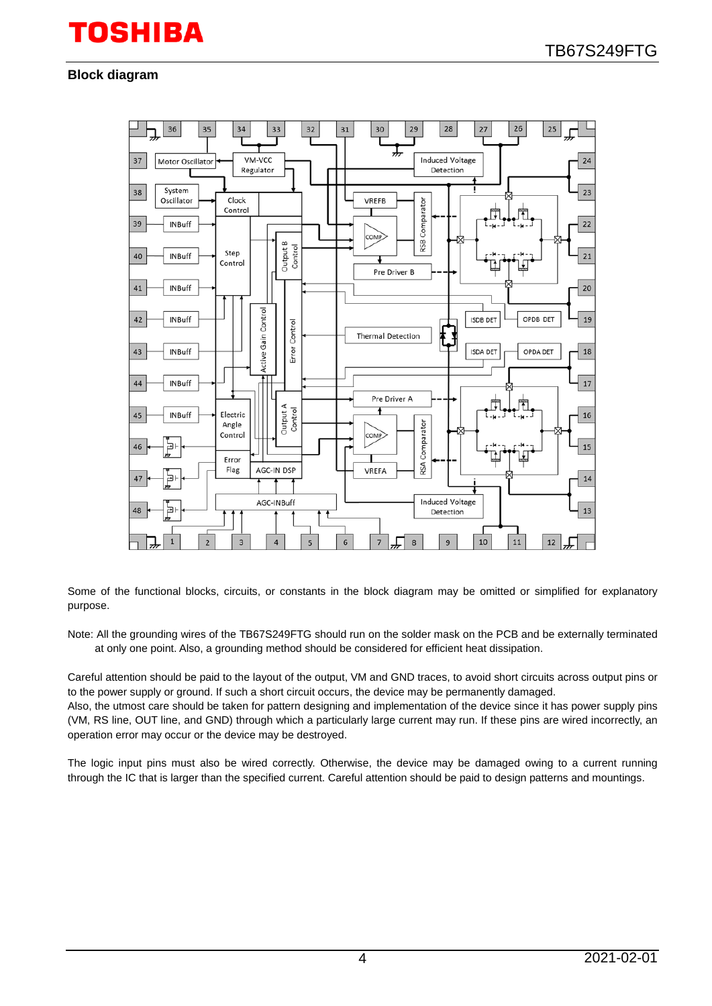### **Block diagram**



Some of the functional blocks, circuits, or constants in the block diagram may be omitted or simplified for explanatory purpose.

Note: All the grounding wires of the TB67S249FTG should run on the solder mask on the PCB and be externally terminated at only one point. Also, a grounding method should be considered for efficient heat dissipation.

Careful attention should be paid to the layout of the output, VM and GND traces, to avoid short circuits across output pins or to the power supply or ground. If such a short circuit occurs, the device may be permanently damaged.

Also, the utmost care should be taken for pattern designing and implementation of the device since it has power supply pins (VM, RS line, OUT line, and GND) through which a particularly large current may run. If these pins are wired incorrectly, an operation error may occur or the device may be destroyed.

The logic input pins must also be wired correctly. Otherwise, the device may be damaged owing to a current running through the IC that is larger than the specified current. Careful attention should be paid to design patterns and mountings.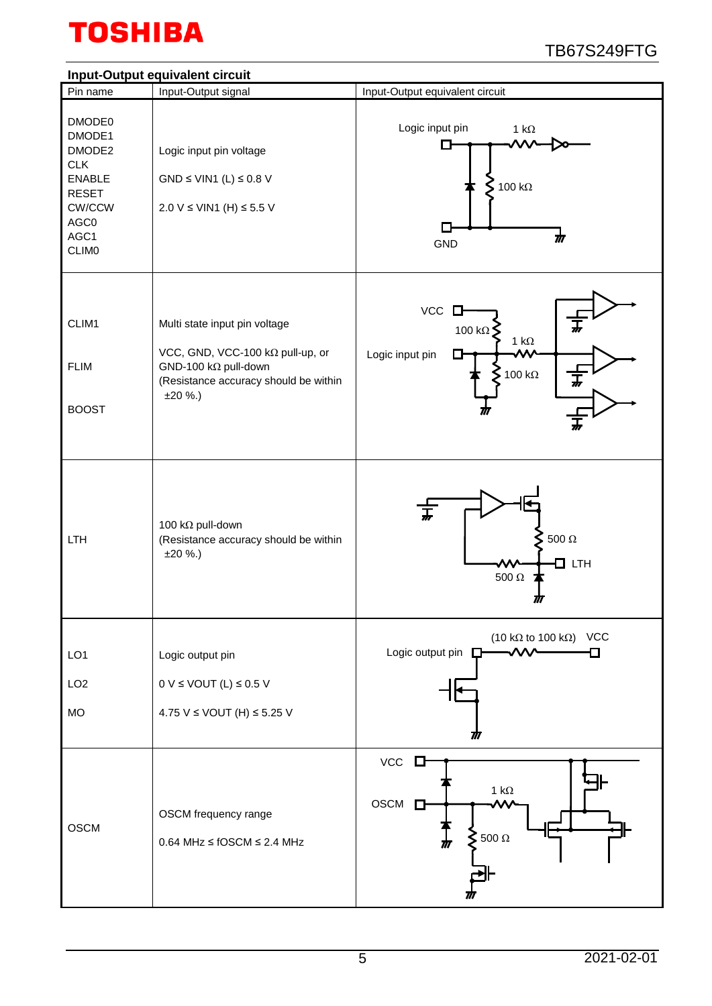

#### **Input-Output equivalent circuit** Pin name | Input-Output signal | Input-Output equivalent circuit DMODE0 Logic input pin 1 kΩ DMODE1  $\Box$ DMODE2 Logic input pin voltage CLK ENABLE  $GND \leq VIN1$  (L)  $\leq 0.8$  V **5** 100 kΩ RESET CW/CCW 2.0 V ≤ VIN1 (H) ≤ 5.5 V AGC0  $\Box$ AGC1  $\rlap{/}{\pi}$ **GND CLIM0**  $VCC$   $\Box$ CLIM1 Multi state input pin voltage 100 kΩ 1 kΩ VCC, GND, VCC-100 kΩ pull-up, or Logic input pin D-FLIM GND-100 kΩ pull-down 100 kΩ (Resistance accuracy should be within ±20 %.) BOOST 100 kΩ pull-down 500 Ω LTH (Resistance accuracy should be within ±20 %.) **D**LTH 500 Ω 77 (10 kΩ to 100 kΩ) VCC Ð Logic output pin  $\square$ . A A A LO1 Logic output pin LO2  $0 V \leq$  VOUT (L)  $\leq$  0.5 V MO 4.75 V ≤ VOUT (H) ≤ 5.25 V 77 **VCC** D ⊩ 1 kΩ OSCM<sup>D</sup> OSCM frequency range OSCM 500 Ω 0.64 MHz ≤ fOSCM ≤ 2.4 MHz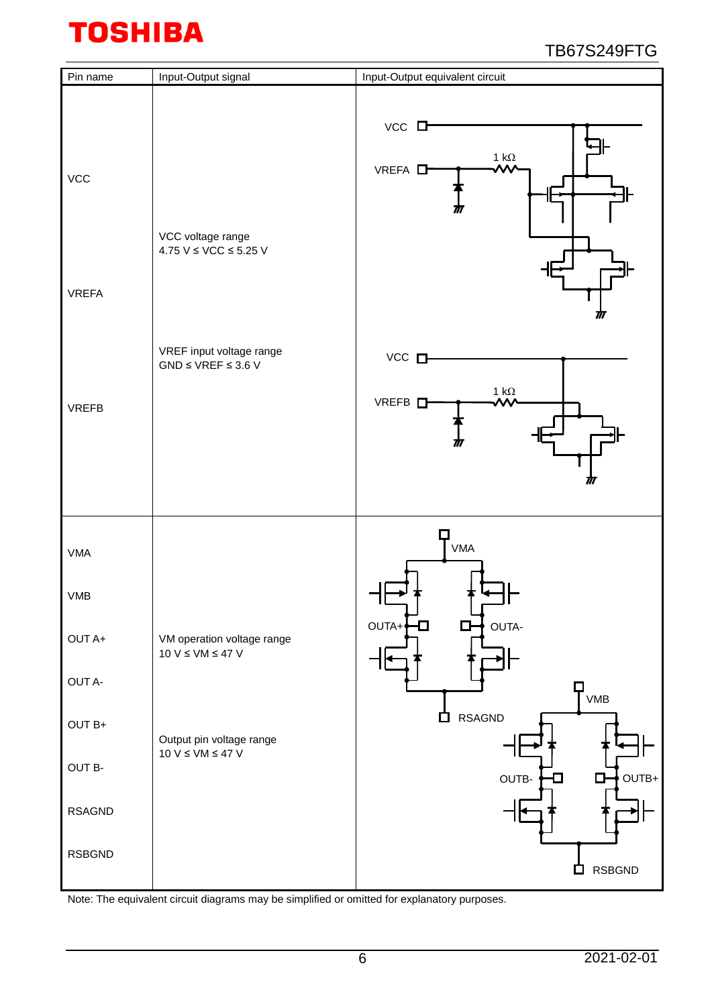| Pin name                       | Input-Output signal                                    | Input-Output equivalent circuit                                                |
|--------------------------------|--------------------------------------------------------|--------------------------------------------------------------------------------|
| <b>VCC</b><br><b>VREFA</b>     | VCC voltage range<br>$4.75$ V $\leq$ VCC $\leq$ 5.25 V | $VCC$ $\Box$<br>1 kΩ<br>W<br>VREFA <sup>D</sup><br>₩<br>M                      |
| <b>VREFB</b>                   | VREF input voltage range<br>$GND \le VREF \le 3.6 V$   | $VCC$ $\square$<br>1 $\mathsf{k}\Omega$<br>VREFB <sub>D</sub><br>۸۸.<br>m<br>ℼ |
| <b>VMA</b>                     |                                                        | $T_{VMA}$                                                                      |
| <b>VMB</b><br>OUT A+           | VM operation voltage range                             | OUTA-<br>OUTA+<br>$\Box$<br>D                                                  |
| OUT A-                         | $10 V \le VM \le 47 V$                                 | $\Box$<br>VMB                                                                  |
| OUT B+                         | Output pin voltage range<br>$10 V \le VM \le 47 V$     | <b>RSAGND</b><br>白                                                             |
| OUT B-                         |                                                        | $OUTB+$<br>OUTB-<br>◘<br>ப                                                     |
| <b>RSAGND</b><br><b>RSBGND</b> |                                                        |                                                                                |
|                                |                                                        | <b>RSBGND</b><br>$\mathcal{L}_{\mathcal{A}}$                                   |

Note: The equivalent circuit diagrams may be simplified or omitted for explanatory purposes.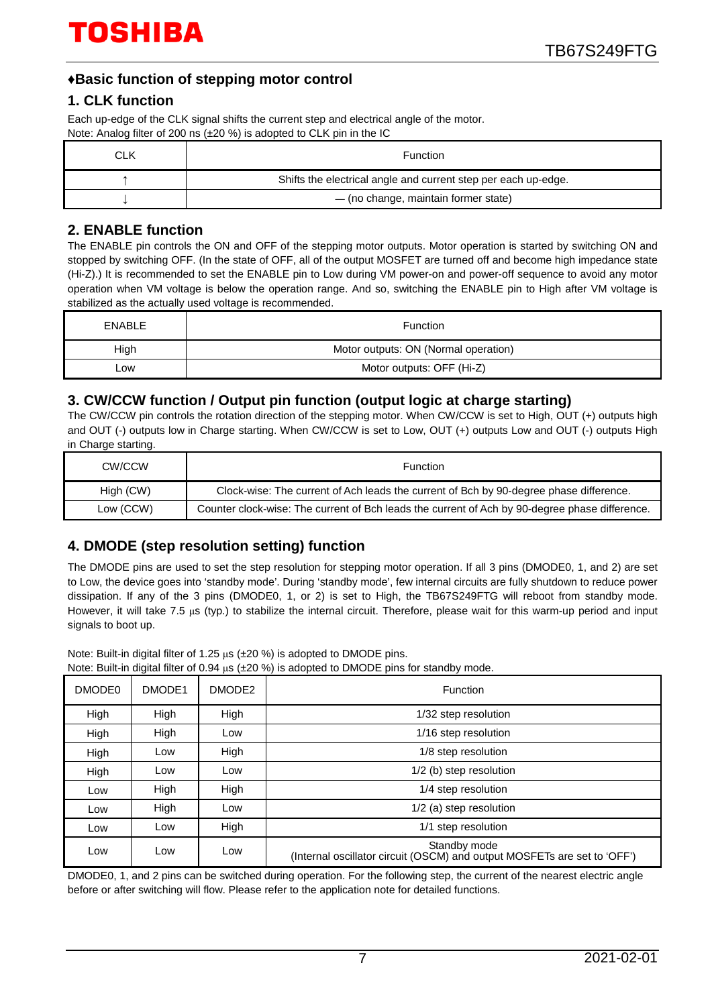## **♦Basic function of stepping motor control**

### **1. CLK function**

Each up-edge of the CLK signal shifts the current step and electrical angle of the motor. Note: Analog filter of 200 ns (±20 %) is adopted to CLK pin in the IC

| CLK | <b>Function</b>                                                |
|-----|----------------------------------------------------------------|
|     | Shifts the electrical angle and current step per each up-edge. |
|     | - (no change, maintain former state)                           |

## **2. ENABLE function**

The ENABLE pin controls the ON and OFF of the stepping motor outputs. Motor operation is started by switching ON and stopped by switching OFF. (In the state of OFF, all of the output MOSFET are turned off and become high impedance state (Hi-Z).) It is recommended to set the ENABLE pin to Low during VM power-on and power-off sequence to avoid any motor operation when VM voltage is below the operation range. And so, switching the ENABLE pin to High after VM voltage is stabilized as the actually used voltage is recommended.

| <b>ENABLE</b> | <b>Function</b>                      |
|---------------|--------------------------------------|
| High          | Motor outputs: ON (Normal operation) |
| _ow           | Motor outputs: OFF (Hi-Z)            |

## **3. CW/CCW function / Output pin function (output logic at charge starting)**

The CW/CCW pin controls the rotation direction of the stepping motor. When CW/CCW is set to High, OUT (+) outputs high and OUT (-) outputs low in Charge starting. When CW/CCW is set to Low, OUT (+) outputs Low and OUT (-) outputs High in Charge starting.

| CW/CCW    | <b>Function</b>                                                                                |
|-----------|------------------------------------------------------------------------------------------------|
| High (CW) | Clock-wise: The current of Ach leads the current of Bch by 90-degree phase difference.         |
| Low (CCW) | Counter clock-wise: The current of Bch leads the current of Ach by 90-degree phase difference. |

## **4. DMODE (step resolution setting) function**

The DMODE pins are used to set the step resolution for stepping motor operation. If all 3 pins (DMODE0, 1, and 2) are set to Low, the device goes into 'standby mode'. During 'standby mode', few internal circuits are fully shutdown to reduce power dissipation. If any of the 3 pins (DMODE0, 1, or 2) is set to High, the TB67S249FTG will reboot from standby mode. However, it will take 7.5 μs (typ.) to stabilize the internal circuit. Therefore, please wait for this warm-up period and input signals to boot up.

Note: Built-in digital filter of 1.25 μs (±20 %) is adopted to DMODE pins.

|  |  | Note: Built-in digital filter of 0.94 $\mu s$ ( $\pm$ 20 %) is adopted to DMODE pins for standby mode. |
|--|--|--------------------------------------------------------------------------------------------------------|
|--|--|--------------------------------------------------------------------------------------------------------|

| DMODE <sub>0</sub> | DMODE1 | DMODE2 | Function                                                                                 |  |  |  |  |  |
|--------------------|--------|--------|------------------------------------------------------------------------------------------|--|--|--|--|--|
| High               | High   | High   | 1/32 step resolution                                                                     |  |  |  |  |  |
| High               | High   | Low    | 1/16 step resolution                                                                     |  |  |  |  |  |
| High               | Low    | High   | 1/8 step resolution                                                                      |  |  |  |  |  |
| High               | Low    | Low    | 1/2 (b) step resolution                                                                  |  |  |  |  |  |
| Low                | High   | High   | 1/4 step resolution                                                                      |  |  |  |  |  |
| Low                | High   | Low    | 1/2 (a) step resolution                                                                  |  |  |  |  |  |
| Low                | Low    | High   | 1/1 step resolution                                                                      |  |  |  |  |  |
| Low                | Low    | Low    | Standby mode<br>(Internal oscillator circuit (OSCM) and output MOSFETs are set to 'OFF') |  |  |  |  |  |

DMODE0, 1, and 2 pins can be switched during operation. For the following step, the current of the nearest electric angle before or after switching will flow. Please refer to the application note for detailed functions.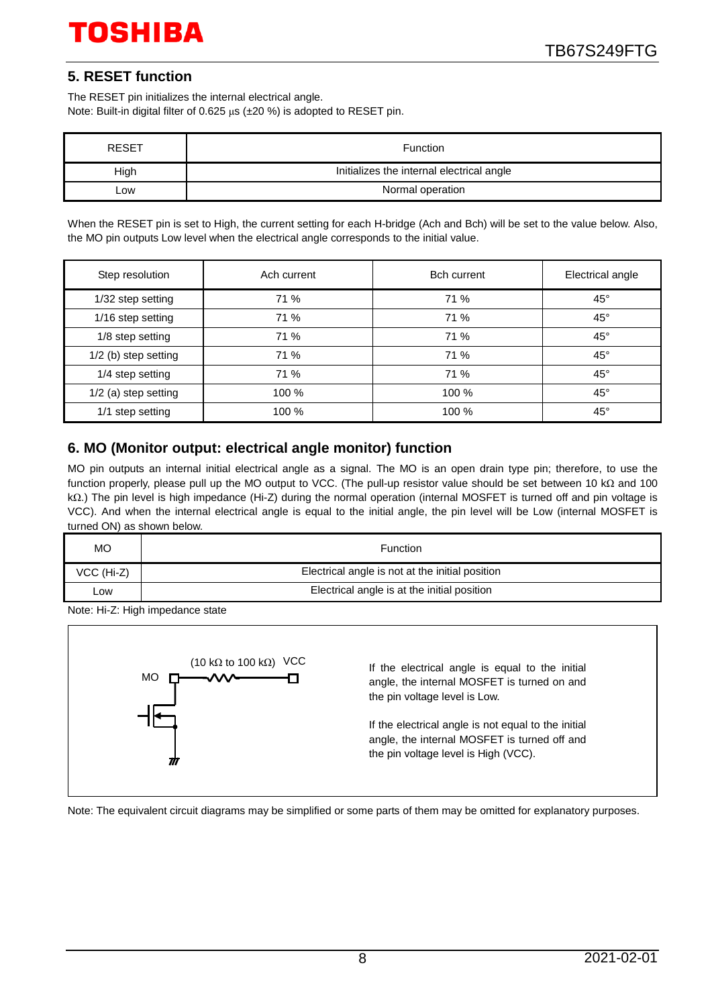## **5. RESET function**

The RESET pin initializes the internal electrical angle. Note: Built-in digital filter of 0.625 μs (±20 %) is adopted to RESET pin.

| <b>RESET</b> | Function                                  |
|--------------|-------------------------------------------|
| High         | Initializes the internal electrical angle |
| .ow          | Normal operation                          |

When the RESET pin is set to High, the current setting for each H-bridge (Ach and Bch) will be set to the value below. Also, the MO pin outputs Low level when the electrical angle corresponds to the initial value.

| Step resolution      | Ach current | <b>Bch current</b> | Electrical angle |
|----------------------|-------------|--------------------|------------------|
| 1/32 step setting    | 71 %        | 71 %               | $45^{\circ}$     |
| 1/16 step setting    | 71 %        | 71 %               | $45^{\circ}$     |
| 1/8 step setting     | 71 %        | 71 %               | $45^{\circ}$     |
| 1/2 (b) step setting | 71 %        | 71 %               | $45^\circ$       |
| 1/4 step setting     | 71 %        | 71 %               | $45^{\circ}$     |
| 1/2 (a) step setting | 100 %       | 100 %              | $45^{\circ}$     |
| 1/1 step setting     | 100 %       | 100 %              | $45^{\circ}$     |

## **6. MO (Monitor output: electrical angle monitor) function**

MO pin outputs an internal initial electrical angle as a signal. The MO is an open drain type pin; therefore, to use the function properly, please pull up the MO output to VCC. (The pull-up resistor value should be set between 10 kΩ and 100 kΩ.) The pin level is high impedance (Hi-Z) during the normal operation (internal MOSFET is turned off and pin voltage is VCC). And when the internal electrical angle is equal to the initial angle, the pin level will be Low (internal MOSFET is turned ON) as shown below.

| МO         | Function                                        |
|------------|-------------------------------------------------|
| VCC (Hi-Z) | Electrical angle is not at the initial position |
| -ow        | Electrical angle is at the initial position     |

Note: Hi-Z: High impedance state



Note: The equivalent circuit diagrams may be simplified or some parts of them may be omitted for explanatory purposes.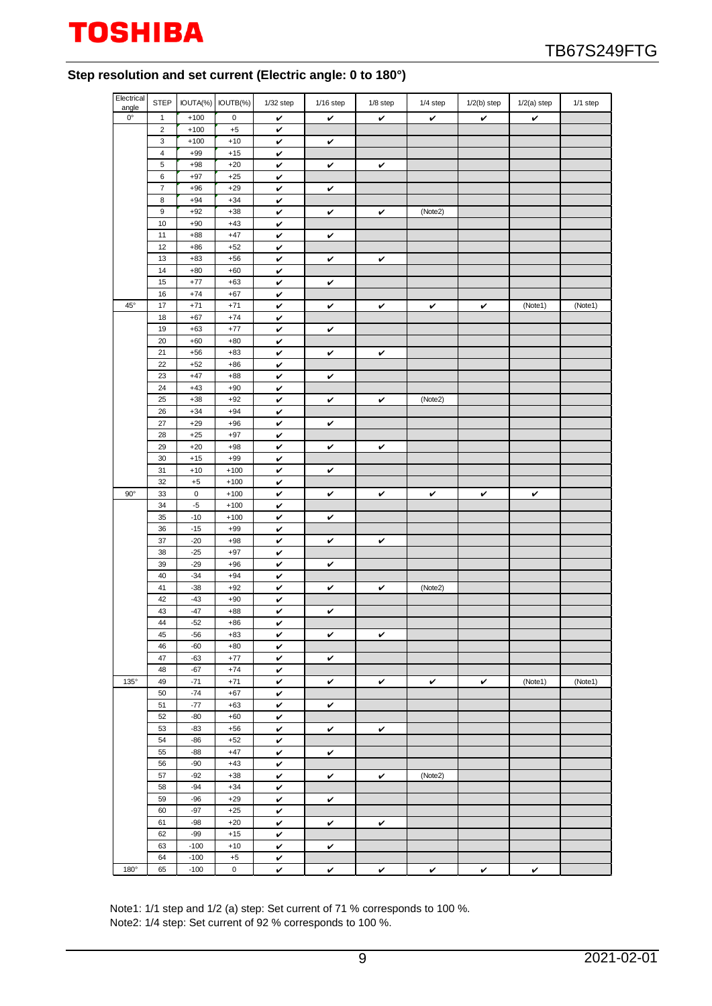

#### **Step resolution and set current (Electric angle: 0 to 180°)**

| Electrical           | <b>STEP</b>      |                | IOUTA(%) IOUTB(%) | $1/32$ step  | $1/16$ step | $1/8$ step   | 1/4 step | $1/2(b)$ step | $1/2(a)$ step | 1/1 step |
|----------------------|------------------|----------------|-------------------|--------------|-------------|--------------|----------|---------------|---------------|----------|
| angle<br>$0^{\circ}$ | $\mathbf{1}$     | $+100$         | $\mathbf 0$       | v            | v           | v            | v        | v             | $\checkmark$  |          |
|                      | $\sqrt{2}$       | $+100$         | $^{\rm +5}$       | v            |             |              |          |               |               |          |
|                      | $\mathbf 3$      | $+100$         | $+10$             | v            | v           |              |          |               |               |          |
|                      | $\sqrt{4}$       | $+99$          | $+15$             | v            |             |              |          |               |               |          |
|                      | $\sqrt{5}$       | $+98$          | $+20$             | v            | v           | v            |          |               |               |          |
|                      | $\,6\,$          | $+97$          | $+25$             | v            |             |              |          |               |               |          |
|                      | $\boldsymbol{7}$ | $+96$          | $+29$             | v            | v           |              |          |               |               |          |
|                      | 8                | $+94$          | $+34$             | v            |             |              |          |               |               |          |
|                      | 9                | $+92$          | $+38$             | V            | v           | v            | (Note2)  |               |               |          |
|                      | 10               | $+90$          | $+43$             | v            |             |              |          |               |               |          |
|                      | 11               | $+88$          | $+47$             | v            | v           |              |          |               |               |          |
|                      | 12               | $+86$          | $+52$             | v            |             |              |          |               |               |          |
|                      | 13               | $+83$          | $+56$             | v            | v           | v            |          |               |               |          |
|                      | 14               | $+80$          | $+60$             | v            |             |              |          |               |               |          |
|                      | 15               | $+77$          | $+63$             | v            | v           |              |          |               |               |          |
|                      | 16               | $+74$          | $+67$             | v            |             |              |          |               |               |          |
| $45^\circ$           | 17               | $+71$          | $+71$             | v            | v           | v            | v        | v             | (Note1)       | (Note1)  |
|                      | 18               | $+67$          | $+74$             | $\checkmark$ |             |              |          |               |               |          |
|                      | 19               | $+63$          | $+77$             | v            | v           |              |          |               |               |          |
|                      | 20               | $+60$          | $+80$             | v            |             |              |          |               |               |          |
|                      | 21               | $+56$          | $+83$             | v            | v           | v            |          |               |               |          |
|                      | 22               | $+52$          | $+86$             | v            |             |              |          |               |               |          |
|                      | 23               | $+47$          | $+88$             | v            | v           |              |          |               |               |          |
|                      | 24               | $+43$          | $+90$             | v            |             |              |          |               |               |          |
|                      | 25               | $+38$          | $+92$             | v            | v           | v            | (Note2)  |               |               |          |
|                      | 26               | $+34$          | $+94$             | v            |             |              |          |               |               |          |
|                      | 27               | $+29$          | $+96$             | v            | v           |              |          |               |               |          |
|                      | 28               | $+25$          | $+97$             | v            |             |              |          |               |               |          |
|                      | 29               | $+20$          | $+98$             | v            | v           | v            |          |               |               |          |
|                      | 30               | $+15$          | $+99$             | v            |             |              |          |               |               |          |
|                      | 31               | $+10$          | $+100$            | v            | v           |              |          |               |               |          |
|                      | 32               | $+5$           | $+100$            | v            |             |              |          |               |               |          |
| $90^{\circ}$         | 33               | $\pmb{0}$      | $+100$            | v            | v           | v            | v        | v             | $\checkmark$  |          |
|                      | 34               | $-5$           | $+100$            | v            |             |              |          |               |               |          |
|                      | 35               | $-10$          | $+100$            | v            | v           |              |          |               |               |          |
|                      | 36               | $-15$          | $+99$             | v            |             |              |          |               |               |          |
|                      | 37               | $-20$<br>$-25$ | $+98$             | v            | v           | v            |          |               |               |          |
|                      | 38               | $-29$          | $+97$             | v            |             |              |          |               |               |          |
|                      | 39<br>40         | $-34$          | $+96$<br>$+94$    | v            | v           |              |          |               |               |          |
|                      | 41               | $-38$          | $+92$             | v            |             |              | (Note2)  |               |               |          |
|                      | 42               | $-43$          | $+90$             | v<br>V       | v           | $\checkmark$ |          |               |               |          |
|                      | 43               | $-47$          | $+88$             | v            | v           |              |          |               |               |          |
|                      | 44               | $-52$          | $+86$             | v            |             |              |          |               |               |          |
|                      | 45               | $-56$          | $+83$             | v            | v           | v            |          |               |               |          |
|                      | 46               | $-60$          | $+80$             | v            |             |              |          |               |               |          |
|                      | 47               | $-63$          | $+77$             | v            | v           |              |          |               |               |          |
|                      | 48               | $-67$          | $+74$             | v            |             |              |          |               |               |          |
| 135°                 | 49               | $-71$          | $+71$             | v            | v           | v            | v        | $\checkmark$  | (Note1)       | (Note1)  |
|                      | 50               | $-74$          | $+67$             | v            |             |              |          |               |               |          |
|                      | 51               | $-77$          | $+63$             | $\checkmark$ | v           |              |          |               |               |          |
|                      | 52               | $-80$          | $+60$             | v            |             |              |          |               |               |          |
|                      | 53               | $-83$          | $+56$             | v            | v           | v            |          |               |               |          |
|                      | 54               | $-86$          | $+52$             | $\checkmark$ |             |              |          |               |               |          |
|                      | 55               | $-88$          | $+47$             | v            | v           |              |          |               |               |          |
|                      | 56               | $-90$          | $+43$             | v            |             |              |          |               |               |          |
|                      | 57               | $-92$          | $+38$             | v            | v           | v            | (Note2)  |               |               |          |
|                      | 58               | $-94$          | $+34$             | v            |             |              |          |               |               |          |
|                      | 59               | $-96$          | $+29$             | v            | v           |              |          |               |               |          |
|                      | 60               | $-97$          | $+25$             | v            |             |              |          |               |               |          |
|                      | 61               | $-98$          | $+20$             | v            | v           | v            |          |               |               |          |
|                      | 62               | $-99$          | $+15$             | $\checkmark$ |             |              |          |               |               |          |
|                      | 63               | $-100$         | $+10$             | v            | v           |              |          |               |               |          |
|                      | 64               | $-100$         | $+5$              | v            |             |              |          |               |               |          |
| 180°                 | 65               | $-100$         | $\mathbf 0$       | v            | v           | v            | v        | v             | v             |          |

Note1: 1/1 step and 1/2 (a) step: Set current of 71 % corresponds to 100 %. Note2: 1/4 step: Set current of 92 % corresponds to 100 %.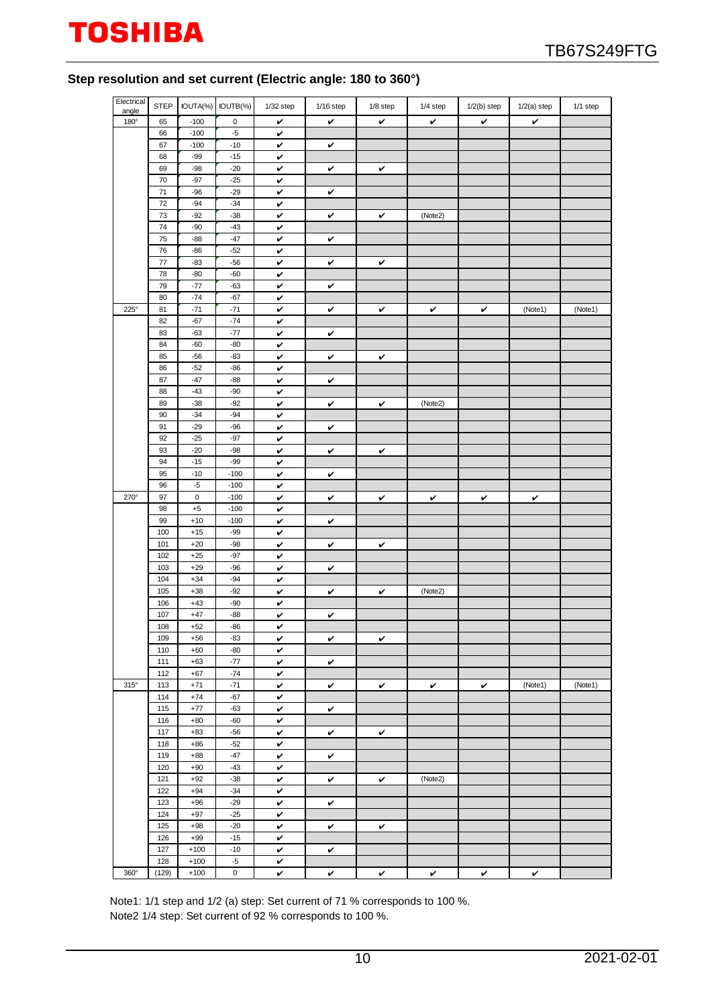### **Step resolution and set current (Electric angle: 180 to 360°)**

| Electrical<br>angle | <b>STEP</b> |                | IOUTA(%) IOUTB(%) | $1/32$ step  | $1/16$ step  | 1/8 step | 1/4 step | $1/2(b)$ step | $1/2(a)$ step | 1/1 step |
|---------------------|-------------|----------------|-------------------|--------------|--------------|----------|----------|---------------|---------------|----------|
| 180°                | 65          | $-100$         | $\mathsf 0$       | v            | v            | v        | v        | v             | v             |          |
|                     | 66          | $-100$         | $-5$              | v            |              |          |          |               |               |          |
|                     | 67          | $-100$         | $-10$             | v            | v            |          |          |               |               |          |
|                     | 68          | $-99$          | $-15$             | v            |              |          |          |               |               |          |
|                     | 69          | $-98$          | $-20$             | v            | v            | v        |          |               |               |          |
|                     | 70          | $-97$          | $-25$             | $\checkmark$ |              |          |          |               |               |          |
|                     | 71          | $-96$          | $-29$             | v            | v            |          |          |               |               |          |
|                     | 72          | $-94$          | $-34$             | v            |              |          |          |               |               |          |
|                     | 73          | $-92$          | $-38$             | v            | v            | v        | (Note2)  |               |               |          |
|                     | 74          | $-90$          | $-43$             | v            |              |          |          |               |               |          |
|                     | 75          | $-88$          | $-47$             | v            | v            |          |          |               |               |          |
|                     | 76          | $-86$          | $-52$             | v            |              |          |          |               |               |          |
|                     | 77          | $-83$          | $-56$             | v            | v            | v        |          |               |               |          |
|                     | 78          | $-80$          | $-60$             | v            |              |          |          |               |               |          |
|                     | 79          | $-77$          | $-63$             | v            | v            |          |          |               |               |          |
|                     | 80          | $-74$          | $-67$             | v            |              |          |          |               |               |          |
| $225^\circ$         | 81          | $-71$          | $-71$             | v            | v            | v        | v        | v             | (Note1)       | (Note1)  |
|                     | 82          | $-67$          | $-74$             | v            |              |          |          |               |               |          |
|                     | 83          | $-63$          | $-77$             | v            | $\checkmark$ |          |          |               |               |          |
|                     | 84          | $-60$          | $-80$             | v            |              |          |          |               |               |          |
|                     | 85          | $-56$          | $-83$             |              |              |          |          |               |               |          |
|                     | 86          | $-52$          | $-86$             | v            | v            | v        |          |               |               |          |
|                     | 87          | $-47$          | $-88$             | v<br>v       |              |          |          |               |               |          |
|                     |             |                |                   |              | v            |          |          |               |               |          |
|                     | 88<br>89    | $-43$<br>$-38$ | $-90$<br>$-92$    | v            |              |          | (Note2)  |               |               |          |
|                     |             |                |                   | v            | v            | v        |          |               |               |          |
|                     | 90<br>91    | $-34$          | $-94$             | v            |              |          |          |               |               |          |
|                     |             | $-29$          | $-96$             | v            | v            |          |          |               |               |          |
|                     | 92          | $-25$          | $-97$             | v            |              |          |          |               |               |          |
|                     | 93          | $-20$          | $-98$             | v            | v            | v        |          |               |               |          |
|                     | 94          | $-15$          | $-99$             | v            |              |          |          |               |               |          |
|                     | 95          | $-10$          | $-100$            | v            | v            |          |          |               |               |          |
|                     | 96          | $-5$           | $-100$            | v            |              |          |          |               |               |          |
| $270^\circ$         | 97          | $\mathbf 0$    | $-100$            | v            | v            | v        | v        | v             | v             |          |
|                     | 98          | $^{\rm +5}$    | $-100$            | v            |              |          |          |               |               |          |
|                     | 99          | $+10$          | $-100$            | v            | $\checkmark$ |          |          |               |               |          |
|                     | 100         | $+15$          | $-99$             | v            |              |          |          |               |               |          |
|                     | 101         | $+20$          | $-98$             | v            | v            | v        |          |               |               |          |
|                     | 102         | $+25$          | $-97$             | v            |              |          |          |               |               |          |
|                     | 103         | $+29$          | $-96$             | v            | v            |          |          |               |               |          |
|                     | 104         | $+34$          | $-94$             | v            |              |          |          |               |               |          |
|                     | 105         | $+38$          | $-92$             | v            | v            | v        | (Note2)  |               |               |          |
|                     | 106         | $+43$          | $-90$             | v            |              |          |          |               |               |          |
|                     | 107         | $+47$          | $-88$             | v            | v            |          |          |               |               |          |
|                     | 108         | $+52$          | $-86$             | v            |              |          |          |               |               |          |
|                     | 109         | $+56$          | -83               | v            | v            | v        |          |               |               |          |
|                     | 110         | $+60$          | $-80$             | v            |              |          |          |               |               |          |
|                     | 111         | $+63$          | $-77$             | v            | v            |          |          |               |               |          |
|                     | 112         | $+67$          | $-74$             | v            |              |          |          |               |               |          |
| $315^\circ$         | 113         | $+71$          | $-71$             | v            | v            | v        | V        | v             | (Note1)       | (Note1)  |
|                     | 114         | $+74$          | $-67$             | v            |              |          |          |               |               |          |
|                     | 115         | $+77$          | $-63$             | v            | v            |          |          |               |               |          |
|                     | 116         | $+80$          | $-60$             | v            |              |          |          |               |               |          |
|                     | 117         | $+83$          | $-56$             | v            | v            | v        |          |               |               |          |
|                     | 118         | $+86$          | $-52$             | v            |              |          |          |               |               |          |
|                     | 119         | $+88$          | $-47$             | v            | v            |          |          |               |               |          |
|                     | 120         | $+90$          | $-43$             | $\checkmark$ |              |          |          |               |               |          |
|                     | 121         | $+92$          | $-38$             | v            | v            | v        | (Note2)  |               |               |          |
|                     | 122         | $+94$          | $-34$             | v            |              |          |          |               |               |          |
|                     | 123         | $+96$          | $-29$             | v            | v            |          |          |               |               |          |
|                     | 124         | $+97$          | $-25$             | v            |              |          |          |               |               |          |
|                     | 125         | $+98$          | $-20$             | v            | v            | v        |          |               |               |          |
|                     | 126         | $+99$          | $-15$             | v            |              |          |          |               |               |          |
|                     | 127         | $+100$         | $-10$             | v            | v            |          |          |               |               |          |
|                     | 128         | $+100$         | $-5$              | v            |              |          |          |               |               |          |
| 360°                | (129)       | $+100$         | $\mathsf 0$       | v            | v            | v        | V        | v             | v             |          |

Note1: 1/1 step and 1/2 (a) step: Set current of 71 % corresponds to 100 %. Note2 1/4 step: Set current of 92 % corresponds to 100 %.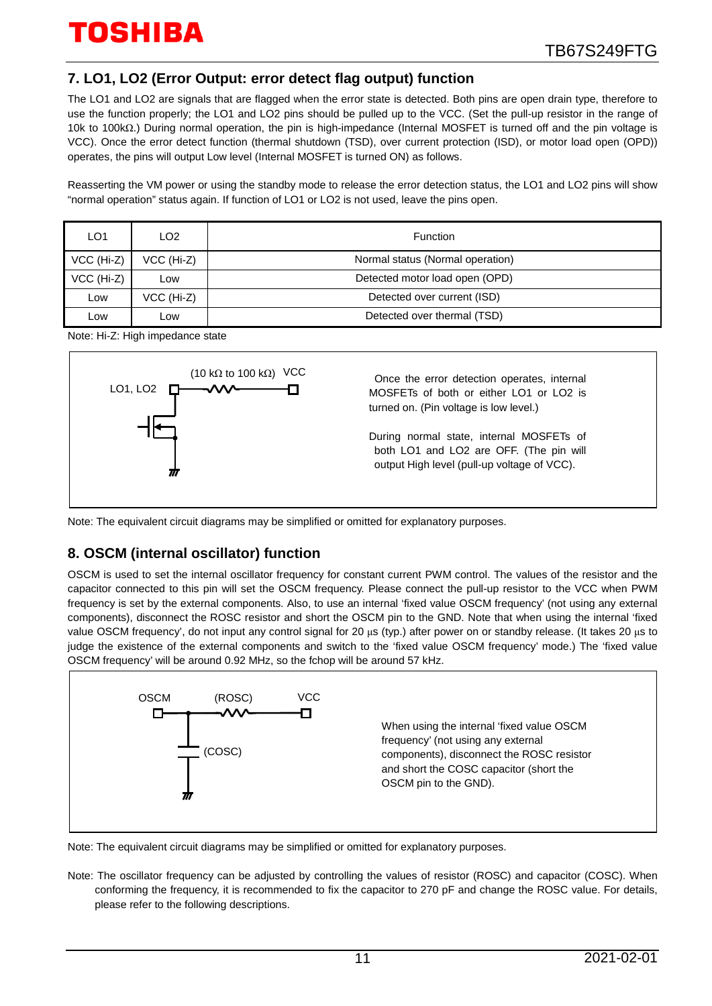## **7. LO1, LO2 (Error Output: error detect flag output) function**

The LO1 and LO2 are signals that are flagged when the error state is detected. Both pins are open drain type, therefore to use the function properly; the LO1 and LO2 pins should be pulled up to the VCC. (Set the pull-up resistor in the range of 10k to 100kΩ.) During normal operation, the pin is high-impedance (Internal MOSFET is turned off and the pin voltage is VCC). Once the error detect function (thermal shutdown (TSD), over current protection (ISD), or motor load open (OPD)) operates, the pins will output Low level (Internal MOSFET is turned ON) as follows.

Reasserting the VM power or using the standby mode to release the error detection status, the LO1 and LO2 pins will show "normal operation" status again. If function of LO1 or LO2 is not used, leave the pins open.

| LO1        | LO <sub>2</sub> | Function                         |
|------------|-----------------|----------------------------------|
| VCC (Hi-Z) | VCC (Hi-Z)      | Normal status (Normal operation) |
| VCC (Hi-Z) | Low             | Detected motor load open (OPD)   |
| Low        | VCC (Hi-Z)      | Detected over current (ISD)      |
| _ow        | LOW             | Detected over thermal (TSD)      |

Note: Hi-Z: High impedance state



Note: The equivalent circuit diagrams may be simplified or omitted for explanatory purposes.

## **8. OSCM (internal oscillator) function**

OSCM is used to set the internal oscillator frequency for constant current PWM control. The values of the resistor and the capacitor connected to this pin will set the OSCM frequency. Please connect the pull-up resistor to the VCC when PWM frequency is set by the external components. Also, to use an internal 'fixed value OSCM frequency' (not using any external components), disconnect the ROSC resistor and short the OSCM pin to the GND. Note that when using the internal 'fixed value OSCM frequency', do not input any control signal for 20 μs (typ.) after power on or standby release. (It takes 20 μs to judge the existence of the external components and switch to the 'fixed value OSCM frequency' mode.) The 'fixed value OSCM frequency' will be around 0.92 MHz, so the fchop will be around 57 kHz.



Note: The equivalent circuit diagrams may be simplified or omitted for explanatory purposes.

Note: The oscillator frequency can be adjusted by controlling the values of resistor (ROSC) and capacitor (COSC). When conforming the frequency, it is recommended to fix the capacitor to 270 pF and change the ROSC value. For details, please refer to the following descriptions.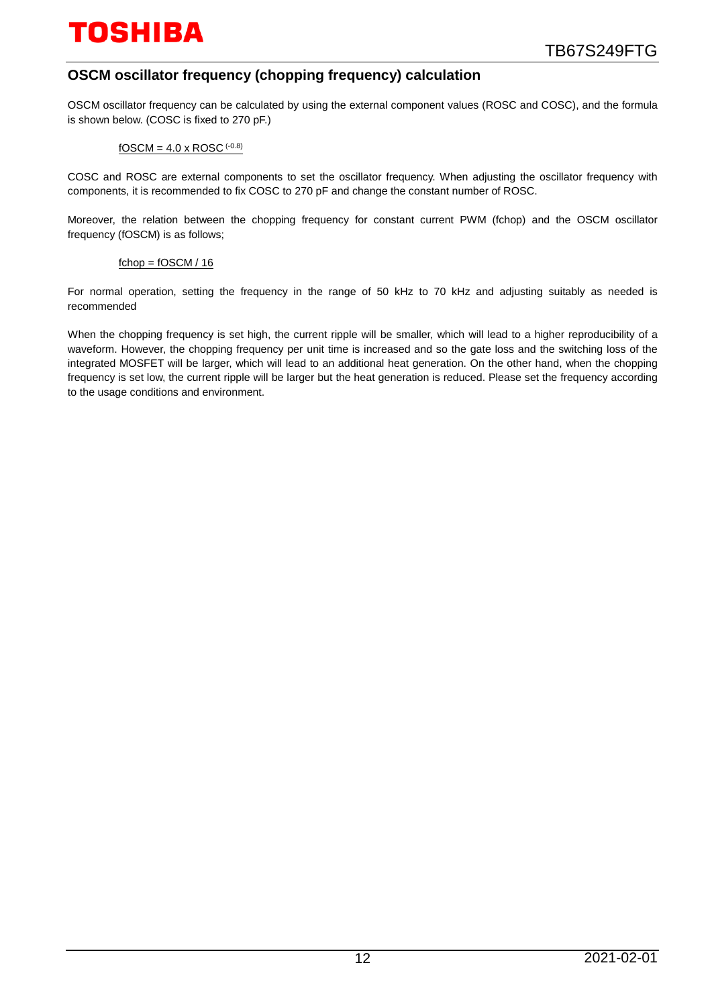## **OSCM oscillator frequency (chopping frequency) calculation**

OSCM oscillator frequency can be calculated by using the external component values (ROSC and COSC), and the formula is shown below. (COSC is fixed to 270 pF.)

#### $fOSCM = 4.0 \times ROSC$  (-0.8)

COSC and ROSC are external components to set the oscillator frequency. When adjusting the oscillator frequency with components, it is recommended to fix COSC to 270 pF and change the constant number of ROSC.

Moreover, the relation between the chopping frequency for constant current PWM (fchop) and the OSCM oscillator frequency (fOSCM) is as follows;

#### $fchop = fOSCM / 16$

For normal operation, setting the frequency in the range of 50 kHz to 70 kHz and adjusting suitably as needed is recommended

When the chopping frequency is set high, the current ripple will be smaller, which will lead to a higher reproducibility of a waveform. However, the chopping frequency per unit time is increased and so the gate loss and the switching loss of the integrated MOSFET will be larger, which will lead to an additional heat generation. On the other hand, when the chopping frequency is set low, the current ripple will be larger but the heat generation is reduced. Please set the frequency according to the usage conditions and environment.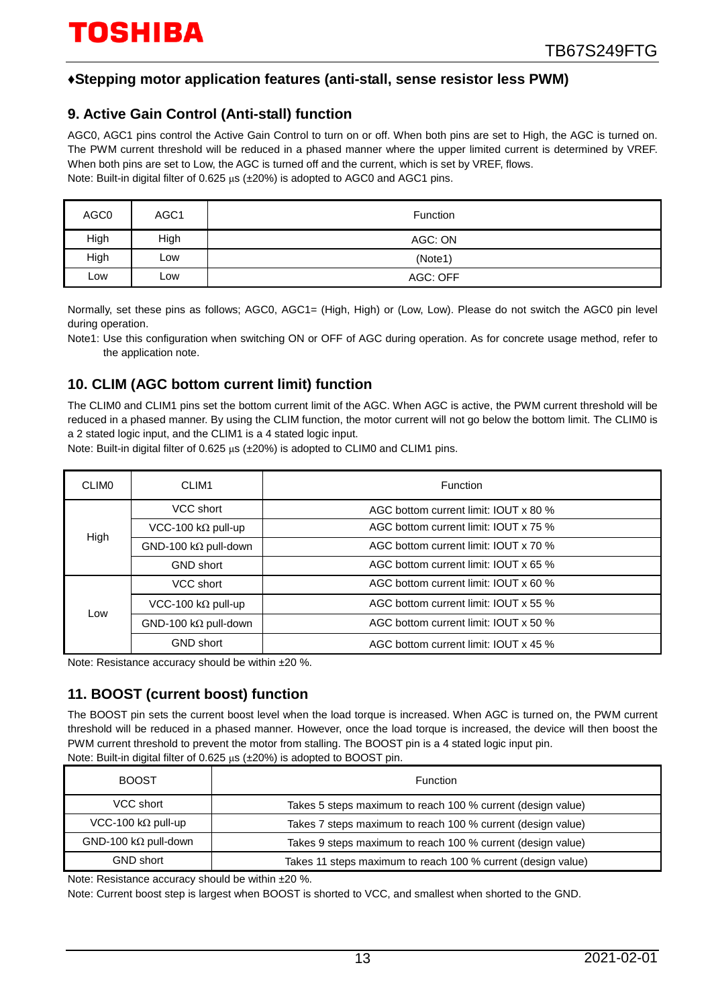## **♦Stepping motor application features (anti-stall, sense resistor less PWM)**

## **9. Active Gain Control (Anti-stall) function**

AGC0, AGC1 pins control the Active Gain Control to turn on or off. When both pins are set to High, the AGC is turned on. The PWM current threshold will be reduced in a phased manner where the upper limited current is determined by VREF. When both pins are set to Low, the AGC is turned off and the current, which is set by VREF, flows. Note: Built-in digital filter of 0.625 μs (±20%) is adopted to AGC0 and AGC1 pins.

| AGC0 | AGC <sub>1</sub> | Function |
|------|------------------|----------|
| High | High             | AGC: ON  |
| High | LOW              | (Note1)  |
| Low  | LOW              | AGC: OFF |

Normally, set these pins as follows; AGC0, AGC1= (High, High) or (Low, Low). Please do not switch the AGC0 pin level during operation.

Note1: Use this configuration when switching ON or OFF of AGC during operation. As for concrete usage method, refer to the application note.

## **10. CLIM (AGC bottom current limit) function**

The CLIM0 and CLIM1 pins set the bottom current limit of the AGC. When AGC is active, the PWM current threshold will be reduced in a phased manner. By using the CLIM function, the motor current will not go below the bottom limit. The CLIM0 is a 2 stated logic input, and the CLIM1 is a 4 stated logic input.

Note: Built-in digital filter of 0.625 μs (±20%) is adopted to CLIM0 and CLIM1 pins.

| <b>CLIMO</b> | CLIM1<br><b>Function</b>    |                                       |  |  |  |
|--------------|-----------------------------|---------------------------------------|--|--|--|
|              | VCC short                   | AGC bottom current limit: IOUT x 80 % |  |  |  |
| High         | VCC-100 k $\Omega$ pull-up  | AGC bottom current limit: IOUT x 75 % |  |  |  |
|              | $GND-100 k\Omega$ pull-down | AGC bottom current limit: IOUT x 70 % |  |  |  |
|              | <b>GND short</b>            | AGC bottom current limit: IOUT x 65 % |  |  |  |
|              | VCC short                   | AGC bottom current limit: IOUT x 60 % |  |  |  |
| Low          | VCC-100 k $\Omega$ pull-up  | AGC bottom current limit: IOUT x 55 % |  |  |  |
|              | $GND-100 k\Omega$ pull-down | AGC bottom current limit: IOUT x 50 % |  |  |  |
|              | <b>GND short</b>            | AGC bottom current limit: IOUT x 45 % |  |  |  |

Note: Resistance accuracy should be within ±20 %.

## **11. BOOST (current boost) function**

The BOOST pin sets the current boost level when the load torque is increased. When AGC is turned on, the PWM current threshold will be reduced in a phased manner. However, once the load torque is increased, the device will then boost the PWM current threshold to prevent the motor from stalling. The BOOST pin is a 4 stated logic input pin. Note: Built-in digital filter of 0.625 μs (±20%) is adopted to BOOST pin.

|                             | $\sim$ $\sim$ $\sim$ $\sim$                                  |
|-----------------------------|--------------------------------------------------------------|
| <b>BOOST</b>                | Function                                                     |
| VCC short                   | Takes 5 steps maximum to reach 100 % current (design value)  |
| VCC-100 k $\Omega$ pull-up  | Takes 7 steps maximum to reach 100 % current (design value)  |
| $GND-100 k\Omega$ pull-down | Takes 9 steps maximum to reach 100 % current (design value)  |
| <b>GND short</b>            | Takes 11 steps maximum to reach 100 % current (design value) |

Note: Resistance accuracy should be within ±20 %.

Note: Current boost step is largest when BOOST is shorted to VCC, and smallest when shorted to the GND.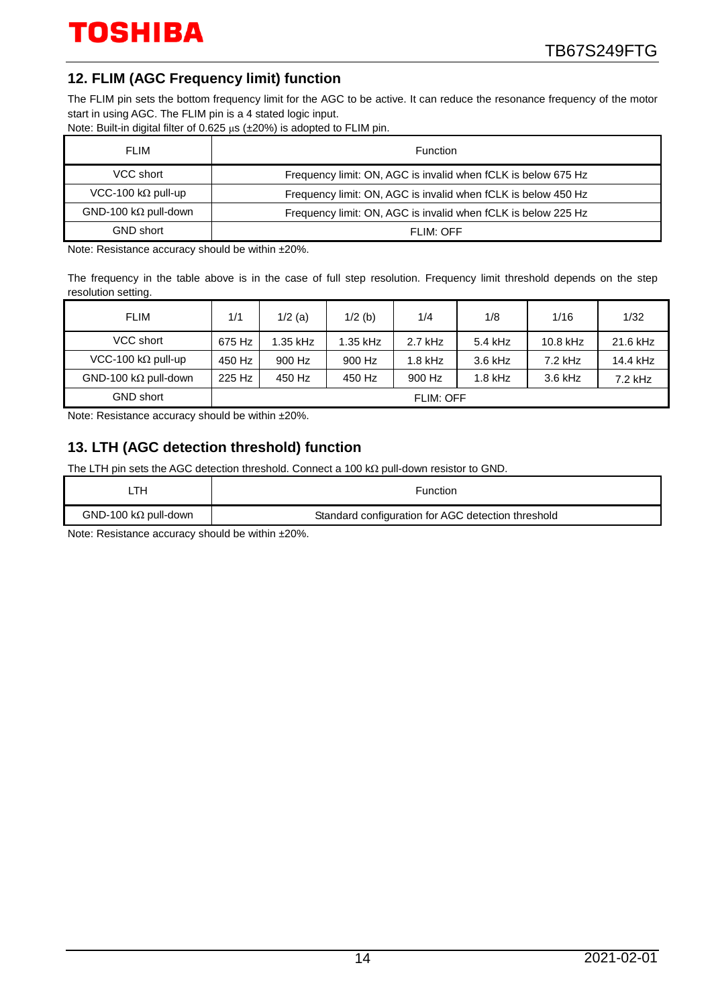## **12. FLIM (AGC Frequency limit) function**

The FLIM pin sets the bottom frequency limit for the AGC to be active. It can reduce the resonance frequency of the motor start in using AGC. The FLIM pin is a 4 stated logic input.

Note: Built-in digital filter of 0.625 μs (±20%) is adopted to FLIM pin.

| <b>FLIM</b>                  | Function                                                      |
|------------------------------|---------------------------------------------------------------|
| VCC short                    | Frequency limit: ON, AGC is invalid when fCLK is below 675 Hz |
| VCC-100 k $\Omega$ pull-up   | Frequency limit: ON, AGC is invalid when fCLK is below 450 Hz |
| GND-100 k $\Omega$ pull-down | Frequency limit: ON, AGC is invalid when fCLK is below 225 Hz |
| <b>GND short</b>             | FLIM: OFF                                                     |

Note: Resistance accuracy should be within ±20%.

The frequency in the table above is in the case of full step resolution. Frequency limit threshold depends on the step resolution setting.

| <b>FLIM</b>                  | 1/1              | $1/2$ (a) | $1/2$ (b) | 1/4       | 1/8       | 1/16       | 1/32      |
|------------------------------|------------------|-----------|-----------|-----------|-----------|------------|-----------|
| VCC short                    | 675 Hz           | 1.35 kHz  | 1.35 kHz  | $2.7$ kHz | 5.4 kHz   | $10.8$ kHz | 21.6 kHz  |
| VCC-100 k $\Omega$ pull-up   | 450 Hz           | 900 Hz    | 900 Hz    | $1.8$ kHz | $3.6$ kHz | $7.2$ kHz  | 14.4 kHz  |
| GND-100 k $\Omega$ pull-down | 225 Hz           | 450 Hz    | 450 Hz    | 900 Hz    | $1.8$ kHz | $3.6$ kHz  | $7.2$ kHz |
| <b>GND short</b>             | <b>FLIM: OFF</b> |           |           |           |           |            |           |

Note: Resistance accuracy should be within ±20%.

## **13. LTH (AGC detection threshold) function**

The LTH pin sets the AGC detection threshold. Connect a 100 kΩ pull-down resistor to GND.

| _TH                         | Function                                           |
|-----------------------------|----------------------------------------------------|
| $GND-100 k\Omega$ pull-down | Standard configuration for AGC detection threshold |
|                             |                                                    |

Note: Resistance accuracy should be within ±20%.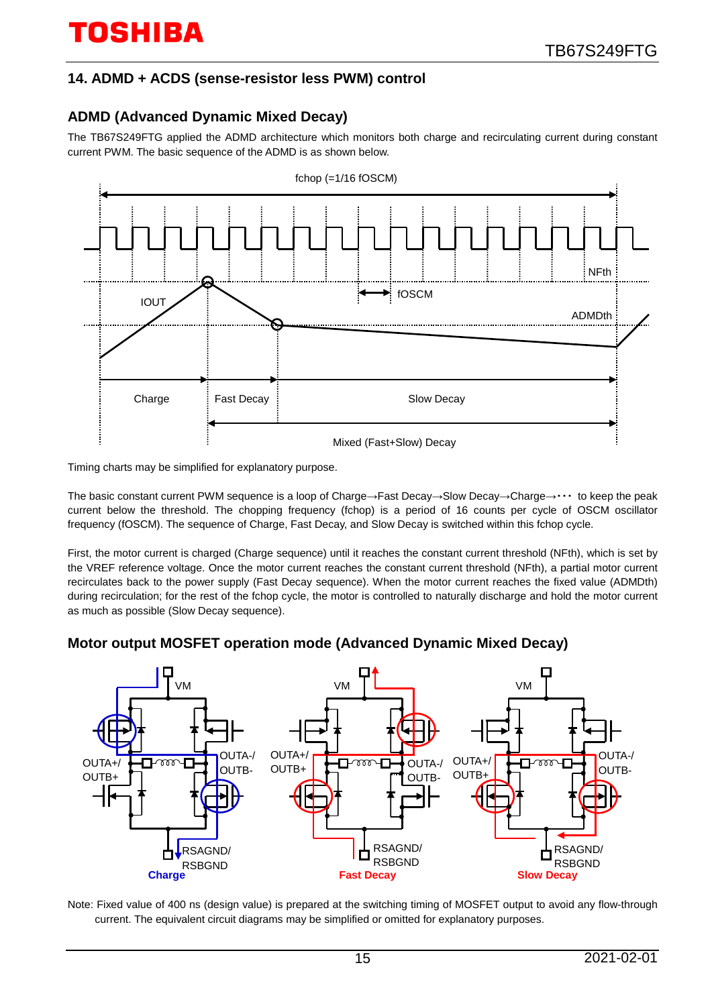## **14. ADMD + ACDS (sense-resistor less PWM) control**

## **ADMD (Advanced Dynamic Mixed Decay)**

The TB67S249FTG applied the ADMD architecture which monitors both charge and recirculating current during constant current PWM. The basic sequence of the ADMD is as shown below.



Timing charts may be simplified for explanatory purpose.

The basic constant current PWM sequence is a loop of Charge→Fast Decay→Slow Decay→Charge→・・・ to keep the peak current below the threshold. The chopping frequency (fchop) is a period of 16 counts per cycle of OSCM oscillator frequency (fOSCM). The sequence of Charge, Fast Decay, and Slow Decay is switched within this fchop cycle.

First, the motor current is charged (Charge sequence) until it reaches the constant current threshold (NFth), which is set by the VREF reference voltage. Once the motor current reaches the constant current threshold (NFth), a partial motor current recirculates back to the power supply (Fast Decay sequence). When the motor current reaches the fixed value (ADMDth) during recirculation; for the rest of the fchop cycle, the motor is controlled to naturally discharge and hold the motor current as much as possible (Slow Decay sequence).

## **Motor output MOSFET operation mode (Advanced Dynamic Mixed Decay)**



Note: Fixed value of 400 ns (design value) is prepared at the switching timing of MOSFET output to avoid any flow-through current. The equivalent circuit diagrams may be simplified or omitted for explanatory purposes.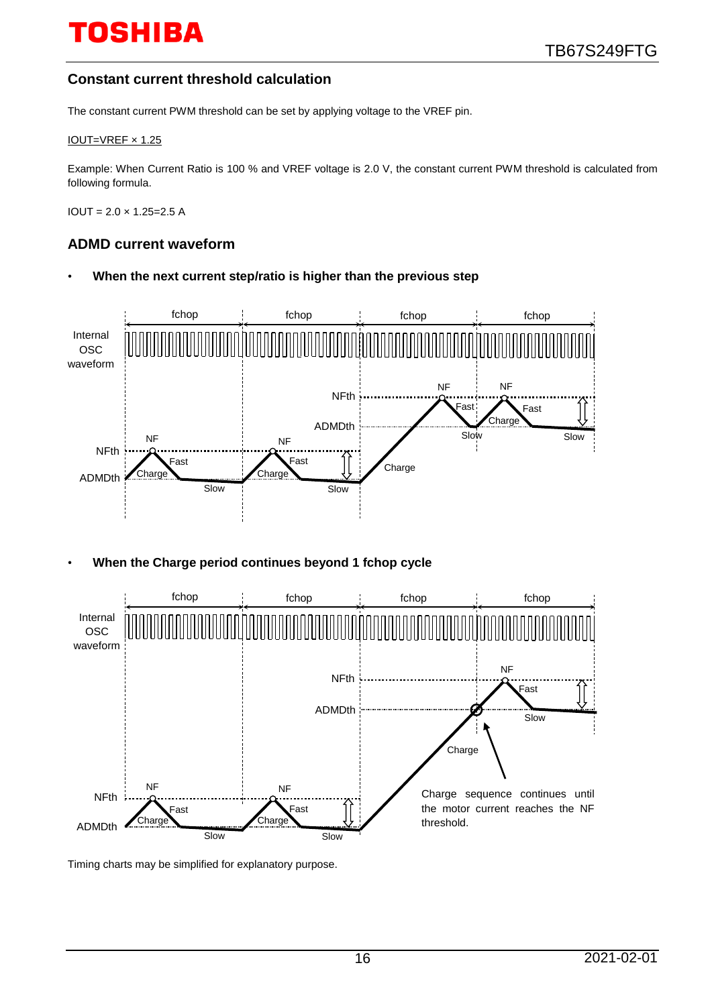## **Constant current threshold calculation**

The constant current PWM threshold can be set by applying voltage to the VREF pin.

#### IOUT=VREF × 1.25

Example: When Current Ratio is 100 % and VREF voltage is 2.0 V, the constant current PWM threshold is calculated from following formula.

 $IOUT = 2.0 \times 1.25 = 2.5 A$ 

#### **ADMD current waveform**

• **When the next current step/ratio is higher than the previous step**



• **When the Charge period continues beyond 1 fchop cycle**



Timing charts may be simplified for explanatory purpose.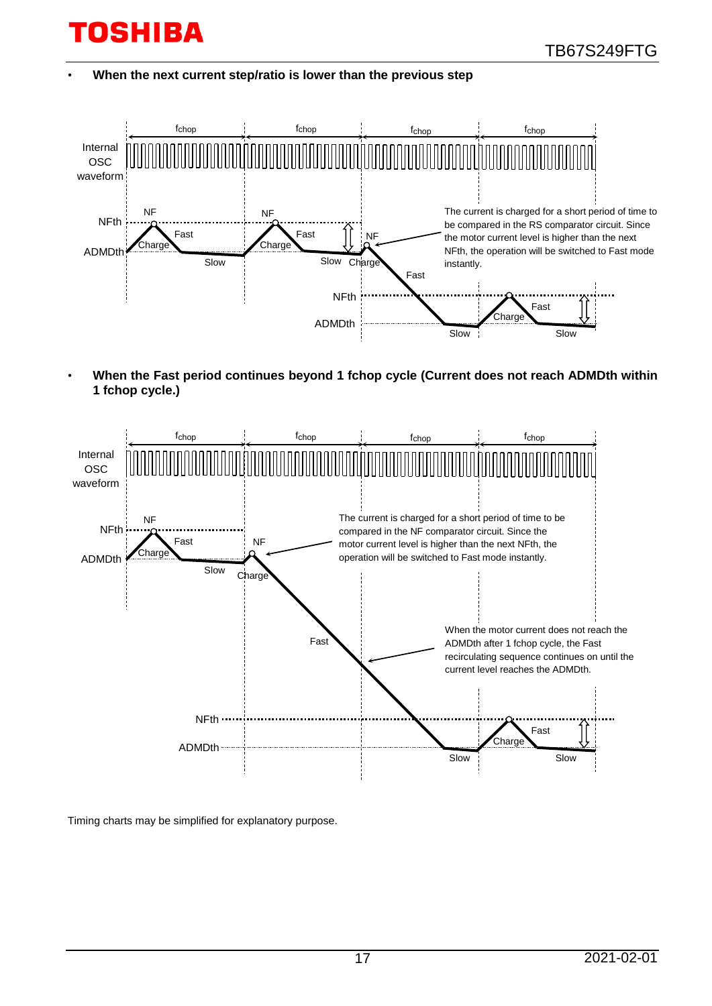• **When the next current step/ratio is lower than the previous step**



• **When the Fast period continues beyond 1 fchop cycle (Current does not reach ADMDth within 1 fchop cycle.)**



Timing charts may be simplified for explanatory purpose.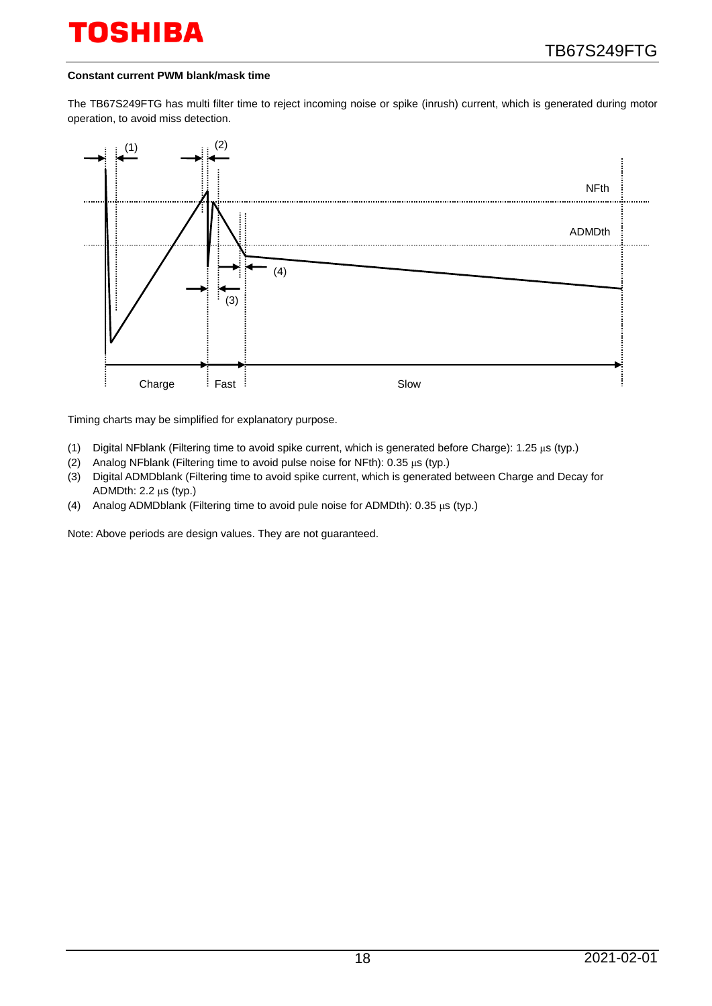#### **Constant current PWM blank/mask time**

The TB67S249FTG has multi filter time to reject incoming noise or spike (inrush) current, which is generated during motor operation, to avoid miss detection.



Timing charts may be simplified for explanatory purpose.

- (1) Digital NFblank (Filtering time to avoid spike current, which is generated before Charge): 1.25 μs (typ.)
- (2) Analog NFblank (Filtering time to avoid pulse noise for NFth): 0.35 μs (typ.)
- (3) Digital ADMDblank (Filtering time to avoid spike current, which is generated between Charge and Decay for ADMDth: 2.2 μs (typ.)
- (4) Analog ADMDblank (Filtering time to avoid pule noise for ADMDth): 0.35 μs (typ.)

Note: Above periods are design values. They are not guaranteed.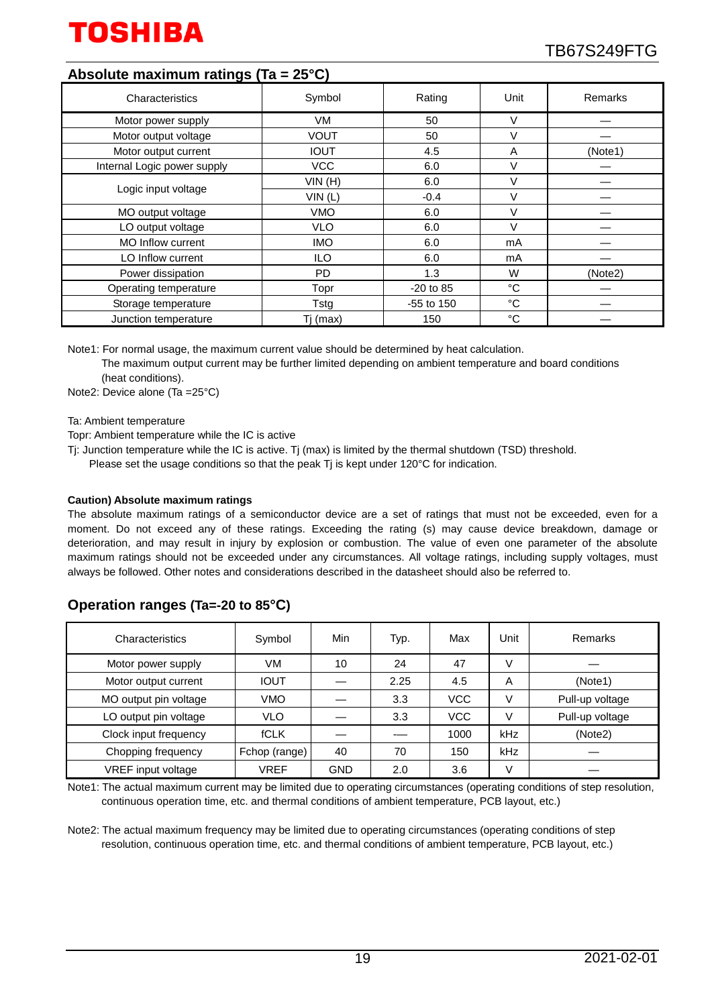

## **Absolute maximum ratings (Ta = 25°C)**

| Characteristics             | Symbol      | Rating       | Unit   | Remarks |
|-----------------------------|-------------|--------------|--------|---------|
| Motor power supply          | VM          | 50           | V      |         |
| Motor output voltage        | <b>VOUT</b> | 50           | V      |         |
| Motor output current        | <b>IOUT</b> | 4.5          | A      | (Note1) |
| Internal Logic power supply | <b>VCC</b>  | 6.0          | V      |         |
|                             | VIN(H)      | 6.0          | $\vee$ |         |
| Logic input voltage         | VIN(L)      | $-0.4$       | V      |         |
| MO output voltage           | <b>VMO</b>  | 6.0          | V      |         |
| LO output voltage           | <b>VLO</b>  | 6.0          | $\vee$ |         |
| <b>MO Inflow current</b>    | <b>IMO</b>  | 6.0          | mA     |         |
| LO Inflow current           | ILO         | 6.0          | mA     |         |
| Power dissipation           | PD.         | 1.3          | W      | (Note2) |
| Operating temperature       | Topr        | $-20$ to 85  | °C     |         |
| Storage temperature         | Tstg        | $-55$ to 150 | °C     |         |
| Junction temperature        | Tj (max)    | 150          | °C     |         |

Note1: For normal usage, the maximum current value should be determined by heat calculation.

The maximum output current may be further limited depending on ambient temperature and board conditions (heat conditions).

Note2: Device alone (Ta =25°C)

Ta: Ambient temperature

Topr: Ambient temperature while the IC is active

- Tj: Junction temperature while the IC is active. Tj (max) is limited by the thermal shutdown (TSD) threshold.
	- Please set the usage conditions so that the peak Tj is kept under 120°C for indication.

#### **Caution) Absolute maximum ratings**

The absolute maximum ratings of a semiconductor device are a set of ratings that must not be exceeded, even for a moment. Do not exceed any of these ratings. Exceeding the rating (s) may cause device breakdown, damage or deterioration, and may result in injury by explosion or combustion. The value of even one parameter of the absolute maximum ratings should not be exceeded under any circumstances. All voltage ratings, including supply voltages, must always be followed. Other notes and considerations described in the datasheet should also be referred to.

## **Operation ranges (Ta=-20 to 85°C)**

| Characteristics       | Symbol        | Min        | Typ. | Max        | Unit | Remarks         |
|-----------------------|---------------|------------|------|------------|------|-----------------|
| Motor power supply    | VM            | 10         | 24   | 47         | V    |                 |
| Motor output current  | <b>IOUT</b>   |            | 2.25 | 4.5        | A    | (Note1)         |
| MO output pin voltage | <b>VMO</b>    |            | 3.3  | <b>VCC</b> | V    | Pull-up voltage |
| LO output pin voltage | <b>VLO</b>    |            | 3.3  | <b>VCC</b> | V    | Pull-up voltage |
| Clock input frequency | <b>fCLK</b>   |            |      | 1000       | kHz  | (Note2)         |
| Chopping frequency    | Fchop (range) | 40         | 70   | 150        | kHz  |                 |
| VREF input voltage    | VREF          | <b>GND</b> | 2.0  | 3.6        | V    |                 |

Note1: The actual maximum current may be limited due to operating circumstances (operating conditions of step resolution, continuous operation time, etc. and thermal conditions of ambient temperature, PCB layout, etc.)

Note2: The actual maximum frequency may be limited due to operating circumstances (operating conditions of step resolution, continuous operation time, etc. and thermal conditions of ambient temperature, PCB layout, etc.)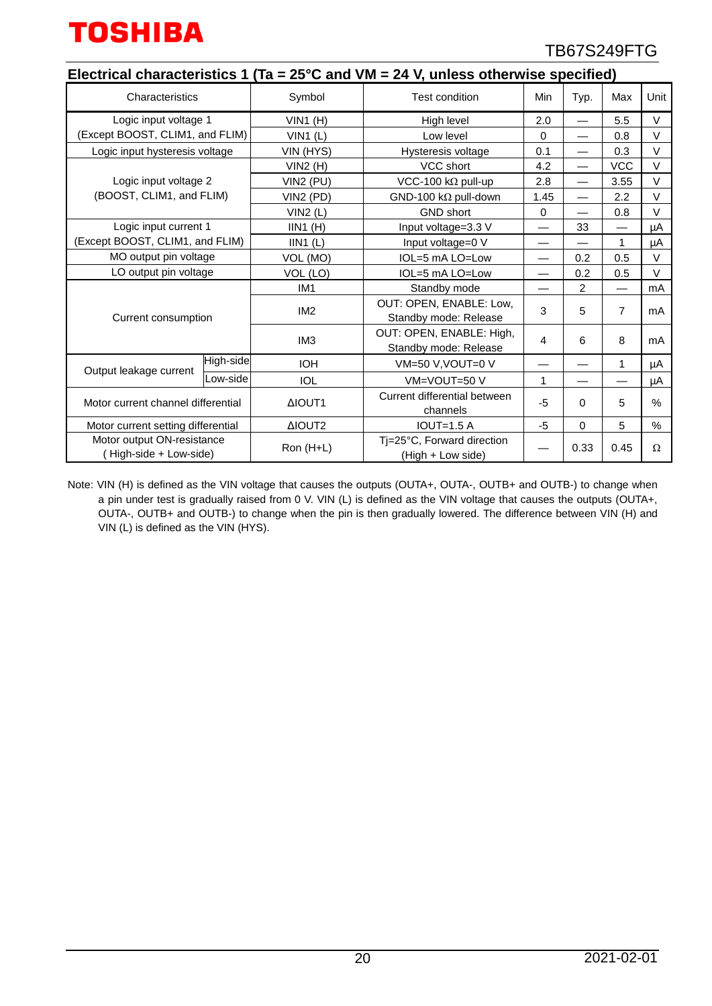

|                                                     | Electrical characteristics 1 (Ta = $25^{\circ}$ C and VM = 24 V, unless otherwise specified) |                 |                                                   |          |                          |                |          |  |  |
|-----------------------------------------------------|----------------------------------------------------------------------------------------------|-----------------|---------------------------------------------------|----------|--------------------------|----------------|----------|--|--|
| Characteristics                                     |                                                                                              | Symbol          | <b>Test condition</b>                             | Min      | Typ.                     | Max            | Unit     |  |  |
| Logic input voltage 1                               |                                                                                              | $VIN1$ (H)      | High level                                        | 2.0      |                          | 5.5            | V        |  |  |
| (Except BOOST, CLIM1, and FLIM)                     |                                                                                              | $VIN1$ (L)      | Low level                                         | $\Omega$ |                          | 0.8            | $\vee$   |  |  |
| Logic input hysteresis voltage                      |                                                                                              | VIN (HYS)       | Hysteresis voltage                                | 0.1      | $\overline{\phantom{0}}$ | 0.3            | V        |  |  |
|                                                     |                                                                                              | VIN2(H)         | VCC short                                         | 4.2      | $\overline{\phantom{0}}$ | <b>VCC</b>     | $\vee$   |  |  |
| Logic input voltage 2                               |                                                                                              | VIN2 (PU)       | VCC-100 k $\Omega$ pull-up                        | 2.8      | $\overline{\phantom{0}}$ | 3.55           | V        |  |  |
| (BOOST, CLIM1, and FLIM)                            |                                                                                              | VIN2 (PD)       | GND-100 k $\Omega$ pull-down                      | 1.45     | —                        | 2.2            | V        |  |  |
|                                                     |                                                                                              | VIN2(L)         | <b>GND short</b>                                  | 0        | —                        | 0.8            | $\vee$   |  |  |
| Logic input current 1                               |                                                                                              | $IIN1$ (H)      | Input voltage=3.3 V                               |          | 33                       |                | μA       |  |  |
| (Except BOOST, CLIM1, and FLIM)                     |                                                                                              | IIN1(L)         | Input voltage=0 V                                 |          |                          | 1              | μA       |  |  |
| MO output pin voltage                               |                                                                                              | VOL (MO)        | IOL=5 mA LO=Low                                   |          | 0.2                      | 0.5            | $\vee$   |  |  |
| LO output pin voltage                               |                                                                                              | VOL (LO)        | IOL=5 mA LO=Low                                   |          | 0.2                      | 0.5            | $\vee$   |  |  |
|                                                     |                                                                                              | IM <sub>1</sub> | Standby mode                                      |          | 2                        |                | mA       |  |  |
| Current consumption                                 |                                                                                              | IM <sub>2</sub> | OUT: OPEN, ENABLE: Low,<br>Standby mode: Release  | 3        | 5                        | $\overline{7}$ | mA       |  |  |
|                                                     |                                                                                              | IM <sub>3</sub> | OUT: OPEN, ENABLE: High,<br>Standby mode: Release | 4        | 6                        | 8              | mA       |  |  |
| Output leakage current                              | High-side                                                                                    | <b>IOH</b>      | VM=50 V, VOUT=0 V                                 |          |                          | 1              | μA       |  |  |
|                                                     | Low-side                                                                                     | <b>IOL</b>      | VM=VOUT=50 V                                      | 1        |                          |                | μA       |  |  |
| Motor current channel differential                  |                                                                                              | ΔIOUT1          | Current differential between<br>channels          | $-5$     | $\Omega$                 | 5              | $\%$     |  |  |
| Motor current setting differential                  |                                                                                              | ΔIOUT2          | $IOUT=1.5 A$                                      | -5       | $\Omega$                 | 5              | $\%$     |  |  |
| Motor output ON-resistance<br>High-side + Low-side) |                                                                                              | Ron (H+L)       | Ti=25°C, Forward direction<br>(High + Low side)   |          | 0.33                     | 0.45           | $\Omega$ |  |  |

Note: VIN (H) is defined as the VIN voltage that causes the outputs (OUTA+, OUTA-, OUTB+ and OUTB-) to change when a pin under test is gradually raised from 0 V. VIN (L) is defined as the VIN voltage that causes the outputs (OUTA+, OUTA-, OUTB+ and OUTB-) to change when the pin is then gradually lowered. The difference between VIN (H) and VIN (L) is defined as the VIN (HYS).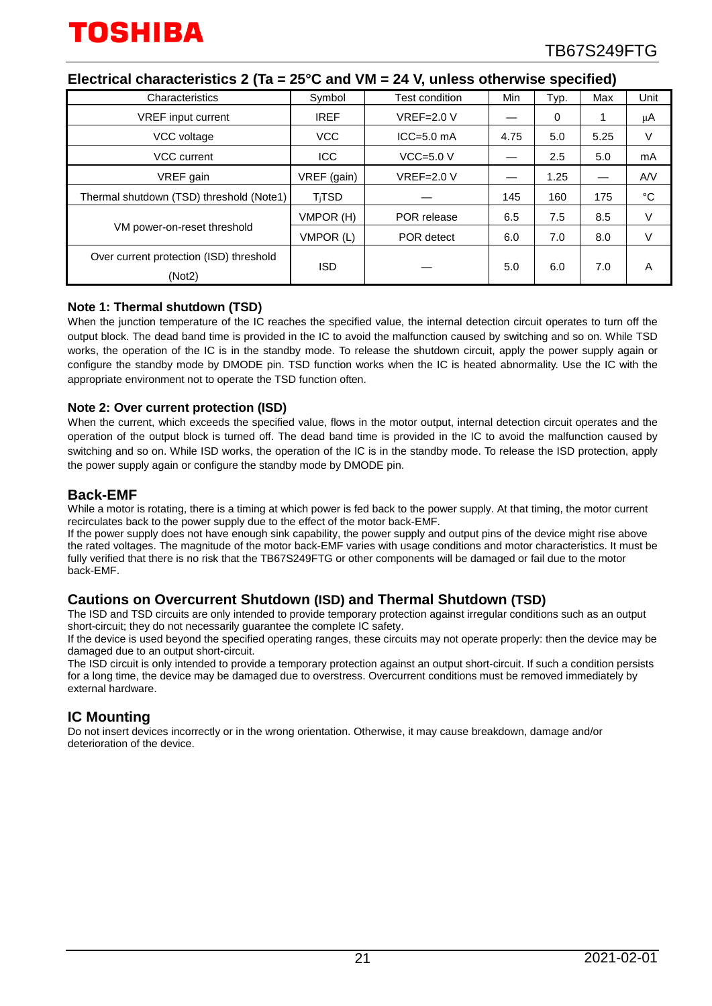| Characteristics                                   | Symbol      | Test condition    | Min  | Typ. | Max  | Unit        |
|---------------------------------------------------|-------------|-------------------|------|------|------|-------------|
| <b>VREF</b> input current                         | <b>IREF</b> | $VREF=2.0 V$      |      | 0    |      | μA          |
| VCC voltage                                       | <b>VCC</b>  | $ICC = 5.0$ mA    | 4.75 | 5.0  | 5.25 | V           |
| VCC current                                       | <b>ICC</b>  | $VCC=5.0 V$       |      | 2.5  | 5.0  | mA          |
| VREF gain                                         | VREF (gain) | <b>VREF=2.0 V</b> |      | 1.25 |      | A/V         |
| Thermal shutdown (TSD) threshold (Note1)          | $T_i$ TSD   |                   | 145  | 160  | 175  | $^{\circ}C$ |
|                                                   | VMPOR (H)   | POR release       | 6.5  | 7.5  | 8.5  | V           |
| VM power-on-reset threshold                       | VMPOR (L)   | POR detect        | 6.0  | 7.0  | 8.0  | V           |
| Over current protection (ISD) threshold<br>(Not2) | <b>ISD</b>  |                   | 5.0  | 6.0  | 7.0  | A           |

### **Electrical characteristics 2 (Ta = 25°C and VM = 24 V, unless otherwise specified)**

#### **Note 1: Thermal shutdown (TSD)**

When the junction temperature of the IC reaches the specified value, the internal detection circuit operates to turn off the output block. The dead band time is provided in the IC to avoid the malfunction caused by switching and so on. While TSD works, the operation of the IC is in the standby mode. To release the shutdown circuit, apply the power supply again or configure the standby mode by DMODE pin. TSD function works when the IC is heated abnormality. Use the IC with the appropriate environment not to operate the TSD function often.

#### **Note 2: Over current protection (ISD)**

When the current, which exceeds the specified value, flows in the motor output, internal detection circuit operates and the operation of the output block is turned off. The dead band time is provided in the IC to avoid the malfunction caused by switching and so on. While ISD works, the operation of the IC is in the standby mode. To release the ISD protection, apply the power supply again or configure the standby mode by DMODE pin.

#### **Back-EMF**

While a motor is rotating, there is a timing at which power is fed back to the power supply. At that timing, the motor current recirculates back to the power supply due to the effect of the motor back-EMF.

If the power supply does not have enough sink capability, the power supply and output pins of the device might rise above the rated voltages. The magnitude of the motor back-EMF varies with usage conditions and motor characteristics. It must be fully verified that there is no risk that the TB67S249FTG or other components will be damaged or fail due to the motor back-EMF.

### **Cautions on Overcurrent Shutdown (ISD) and Thermal Shutdown (TSD)**

The ISD and TSD circuits are only intended to provide temporary protection against irregular conditions such as an output short-circuit; they do not necessarily guarantee the complete IC safety.

If the device is used beyond the specified operating ranges, these circuits may not operate properly: then the device may be damaged due to an output short-circuit.

The ISD circuit is only intended to provide a temporary protection against an output short-circuit. If such a condition persists for a long time, the device may be damaged due to overstress. Overcurrent conditions must be removed immediately by external hardware.

### **IC Mounting**

Do not insert devices incorrectly or in the wrong orientation. Otherwise, it may cause breakdown, damage and/or deterioration of the device.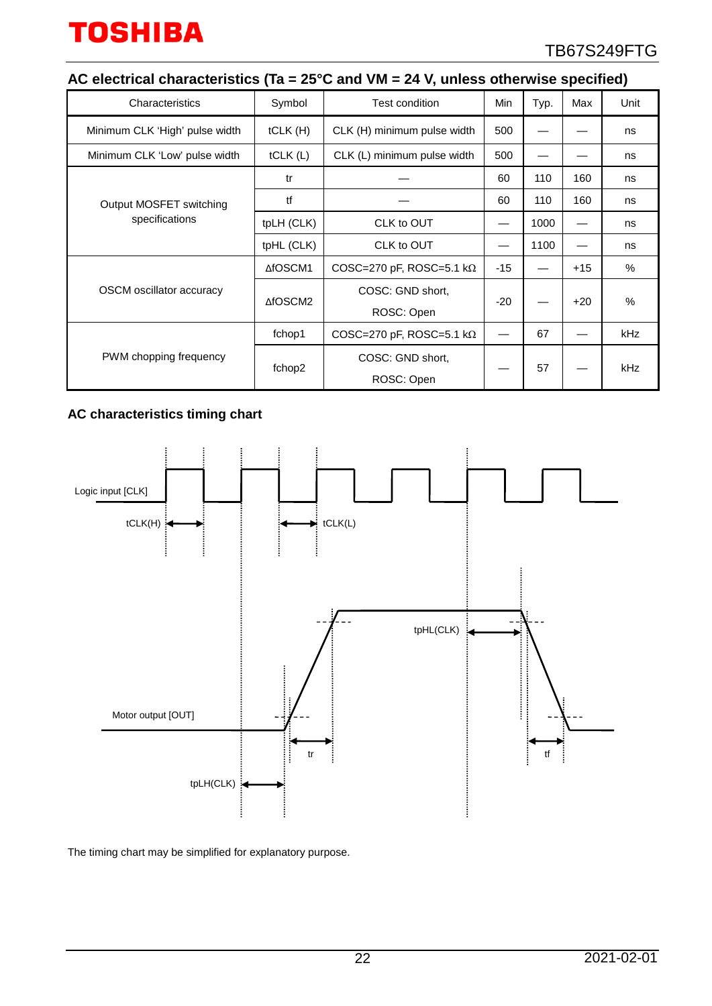## **AC electrical characteristics (Ta = 25°C and VM = 24 V, unless otherwise specified)**

| Characteristics                | Symbol     | Test condition                   | Min   | Typ. | Max   | Unit       |
|--------------------------------|------------|----------------------------------|-------|------|-------|------------|
| Minimum CLK 'High' pulse width | tCLK(H)    | CLK (H) minimum pulse width      | 500   |      |       | ns         |
| Minimum CLK 'Low' pulse width  | tCLK(L)    | CLK (L) minimum pulse width      | 500   |      |       | ns         |
|                                | tr         |                                  | 60    | 110  | 160   | ns         |
| Output MOSFET switching        | tf         |                                  | 60    | 110  | 160   | ns         |
| specifications                 | tpLH (CLK) | CLK to OUT                       |       | 1000 |       | ns         |
|                                | tpHL (CLK) | CLK to OUT                       |       | 1100 |       | ns         |
|                                | ∆fOSCM1    | COSC=270 pF, ROSC=5.1 k $\Omega$ | $-15$ |      | $+15$ | $\%$       |
| OSCM oscillator accuracy       | ∆fOSCM2    | COSC: GND short,                 |       |      |       | $\%$       |
|                                |            | ROSC: Open                       | $-20$ |      | $+20$ |            |
|                                | fchop1     | COSC=270 pF, ROSC=5.1 k $\Omega$ |       | 67   |       | <b>kHz</b> |
| PWM chopping frequency         |            | COSC: GND short,                 |       |      |       |            |
|                                | fchop2     | ROSC: Open                       |       | 57   |       | <b>kHz</b> |

## **AC characteristics timing chart**



The timing chart may be simplified for explanatory purpose.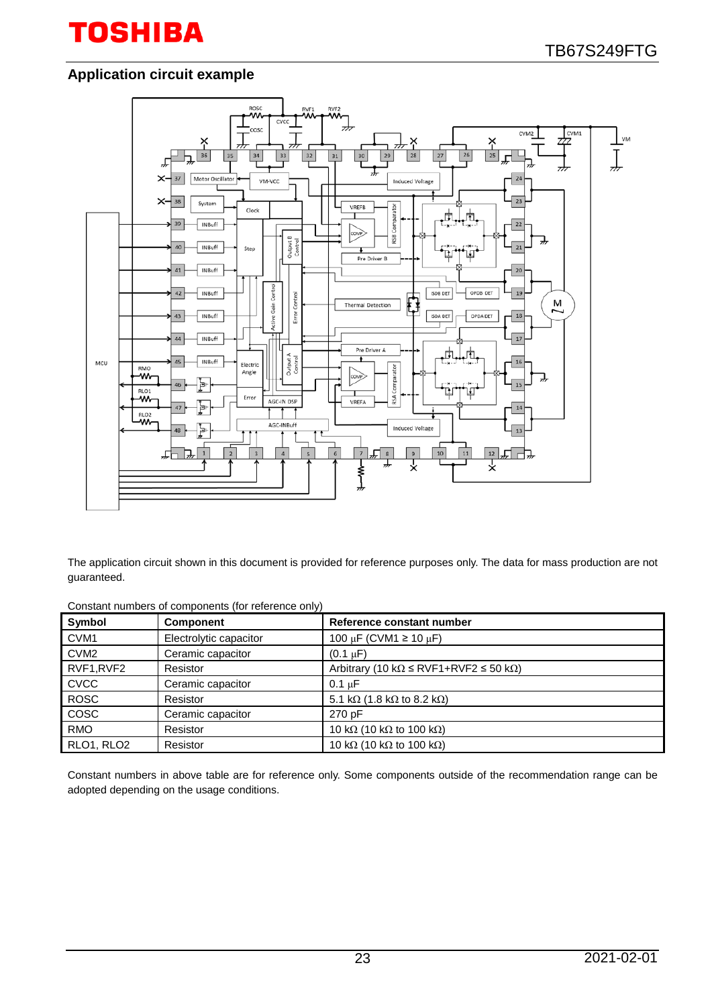## **Application circuit example**



The application circuit shown in this document is provided for reference purposes only. The data for mass production are not guaranteed.

| Constant numbers of components (for reference only) |  |
|-----------------------------------------------------|--|
|-----------------------------------------------------|--|

| Symbol           | <b>Component</b>       | Reference constant number                                      |
|------------------|------------------------|----------------------------------------------------------------|
| CVM <sub>1</sub> | Electrolytic capacitor | 100 µF (CVM1 $\geq$ 10 µF)                                     |
| CVM <sub>2</sub> | Ceramic capacitor      | $(0.1 \mu F)$                                                  |
| RVF1, RVF2       | Resistor               | Arbitrary (10 k $\Omega \leq RVF1 + RVF2 \leq 50$ k $\Omega$ ) |
| <b>CVCC</b>      | Ceramic capacitor      | $0.1 \mu F$                                                    |
| <b>ROSC</b>      | Resistor               | 5.1 k $\Omega$ (1.8 k $\Omega$ to 8.2 k $\Omega$ )             |
| COSC             | Ceramic capacitor      | 270 pF                                                         |
| <b>RMO</b>       | Resistor               | 10 k $\Omega$ (10 k $\Omega$ to 100 k $\Omega$ )               |
| RLO1, RLO2       | Resistor               | 10 k $\Omega$ (10 k $\Omega$ to 100 k $\Omega$ )               |

Constant numbers in above table are for reference only. Some components outside of the recommendation range can be adopted depending on the usage conditions.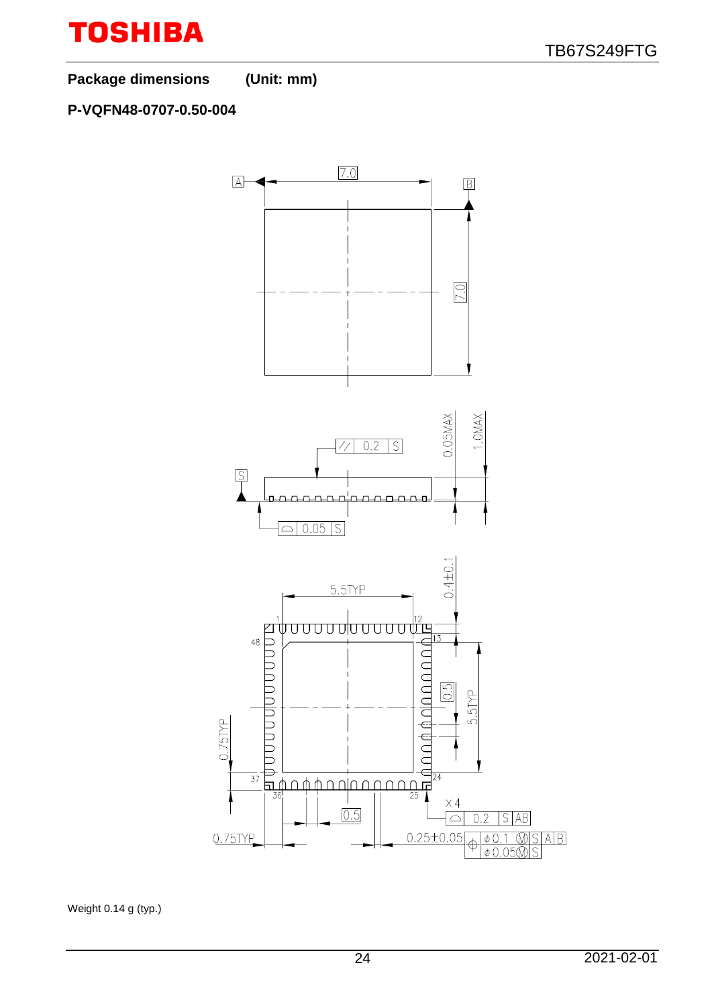

**Package dimensions (Unit: mm)**

## **P-VQFN48-0707-0.50-004**



Weight 0.14 g (typ.)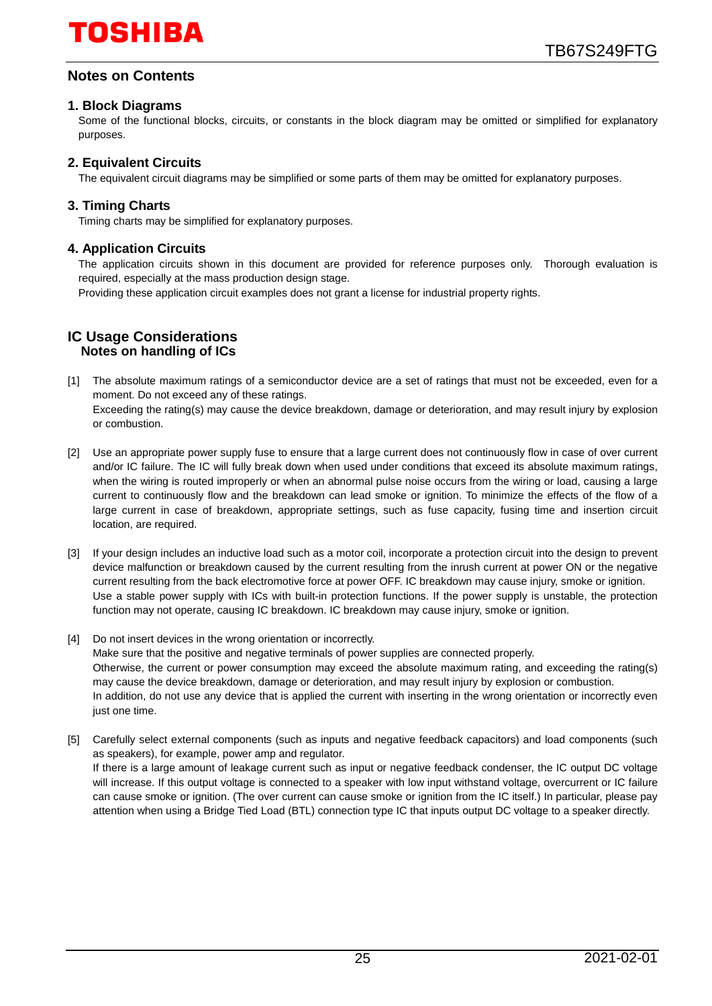## **Notes on Contents**

#### **1. Block Diagrams**

Some of the functional blocks, circuits, or constants in the block diagram may be omitted or simplified for explanatory purposes.

### **2. Equivalent Circuits**

The equivalent circuit diagrams may be simplified or some parts of them may be omitted for explanatory purposes.

#### **3. Timing Charts**

Timing charts may be simplified for explanatory purposes.

#### **4. Application Circuits**

The application circuits shown in this document are provided for reference purposes only. Thorough evaluation is required, especially at the mass production design stage.

Providing these application circuit examples does not grant a license for industrial property rights.

#### **IC Usage Considerations Notes on handling of ICs**

- [1] The absolute maximum ratings of a semiconductor device are a set of ratings that must not be exceeded, even for a moment. Do not exceed any of these ratings. Exceeding the rating(s) may cause the device breakdown, damage or deterioration, and may result injury by explosion or combustion.
- [2] Use an appropriate power supply fuse to ensure that a large current does not continuously flow in case of over current and/or IC failure. The IC will fully break down when used under conditions that exceed its absolute maximum ratings, when the wiring is routed improperly or when an abnormal pulse noise occurs from the wiring or load, causing a large current to continuously flow and the breakdown can lead smoke or ignition. To minimize the effects of the flow of a large current in case of breakdown, appropriate settings, such as fuse capacity, fusing time and insertion circuit location, are required.
- [3] If your design includes an inductive load such as a motor coil, incorporate a protection circuit into the design to prevent device malfunction or breakdown caused by the current resulting from the inrush current at power ON or the negative current resulting from the back electromotive force at power OFF. IC breakdown may cause injury, smoke or ignition. Use a stable power supply with ICs with built-in protection functions. If the power supply is unstable, the protection function may not operate, causing IC breakdown. IC breakdown may cause injury, smoke or ignition.
- [4] Do not insert devices in the wrong orientation or incorrectly. Make sure that the positive and negative terminals of power supplies are connected properly. Otherwise, the current or power consumption may exceed the absolute maximum rating, and exceeding the rating(s) may cause the device breakdown, damage or deterioration, and may result injury by explosion or combustion. In addition, do not use any device that is applied the current with inserting in the wrong orientation or incorrectly even just one time.
- [5] Carefully select external components (such as inputs and negative feedback capacitors) and load components (such as speakers), for example, power amp and regulator. If there is a large amount of leakage current such as input or negative feedback condenser, the IC output DC voltage will increase. If this output voltage is connected to a speaker with low input withstand voltage, overcurrent or IC failure can cause smoke or ignition. (The over current can cause smoke or ignition from the IC itself.) In particular, please pay attention when using a Bridge Tied Load (BTL) connection type IC that inputs output DC voltage to a speaker directly.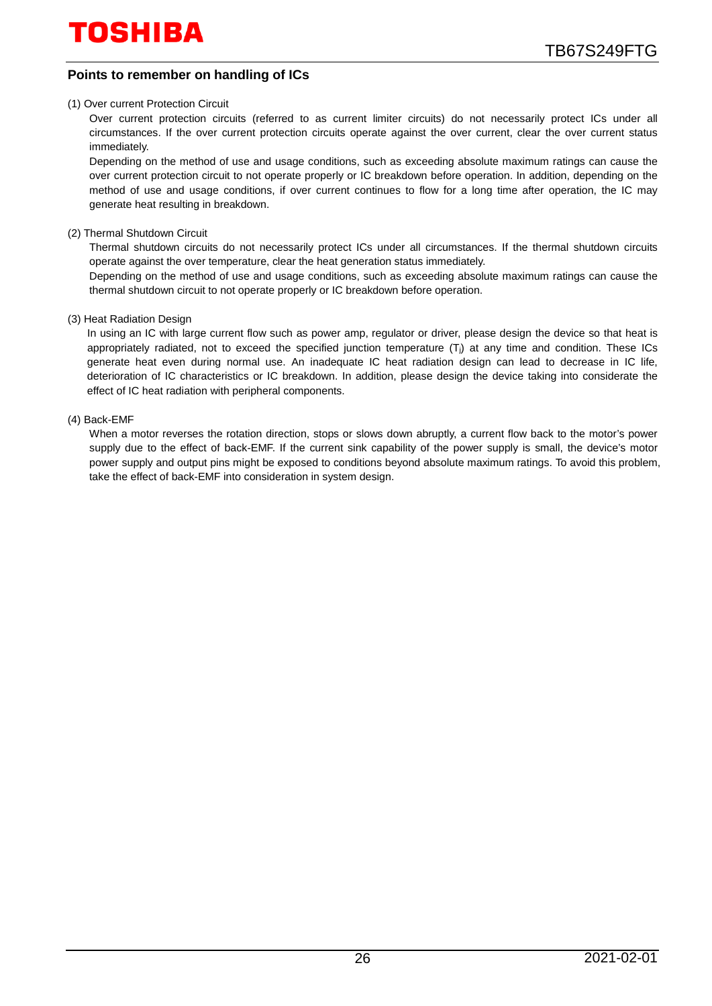### **Points to remember on handling of ICs**

#### (1) Over current Protection Circuit

Over current protection circuits (referred to as current limiter circuits) do not necessarily protect ICs under all circumstances. If the over current protection circuits operate against the over current, clear the over current status immediately.

Depending on the method of use and usage conditions, such as exceeding absolute maximum ratings can cause the over current protection circuit to not operate properly or IC breakdown before operation. In addition, depending on the method of use and usage conditions, if over current continues to flow for a long time after operation, the IC may generate heat resulting in breakdown.

(2) Thermal Shutdown Circuit

Thermal shutdown circuits do not necessarily protect ICs under all circumstances. If the thermal shutdown circuits operate against the over temperature, clear the heat generation status immediately.

Depending on the method of use and usage conditions, such as exceeding absolute maximum ratings can cause the thermal shutdown circuit to not operate properly or IC breakdown before operation.

#### (3) Heat Radiation Design

In using an IC with large current flow such as power amp, regulator or driver, please design the device so that heat is appropriately radiated, not to exceed the specified junction temperature (Ti) at any time and condition. These ICs generate heat even during normal use. An inadequate IC heat radiation design can lead to decrease in IC life, deterioration of IC characteristics or IC breakdown. In addition, please design the device taking into considerate the effect of IC heat radiation with peripheral components.

#### (4) Back-EMF

When a motor reverses the rotation direction, stops or slows down abruptly, a current flow back to the motor's power supply due to the effect of back-EMF. If the current sink capability of the power supply is small, the device's motor power supply and output pins might be exposed to conditions beyond absolute maximum ratings. To avoid this problem, take the effect of back-EMF into consideration in system design.